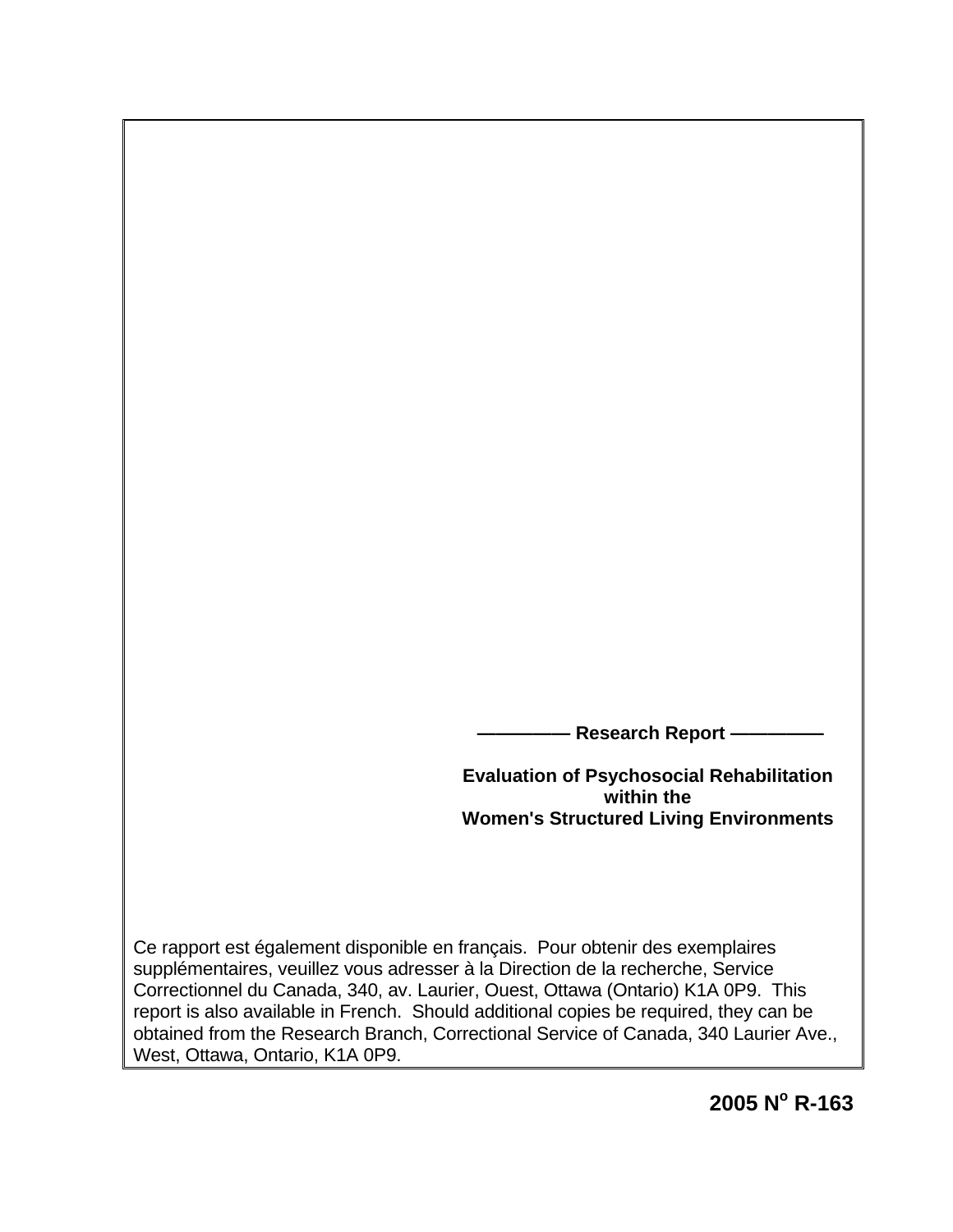- Research Report –

**Evaluation of Psychosocial Rehabilitation within the Women's Structured Living Environments**

Ce rapport est également disponible en français. Pour obtenir des exemplaires supplémentaires, veuillez vous adresser à la Direction de la recherche, Service Correctionnel du Canada, 340, av. Laurier, Ouest, Ottawa (Ontario) K1A 0P9. This report is also available in French. Should additional copies be required, they can be obtained from the Research Branch, Correctional Service of Canada, 340 Laurier Ave., West, Ottawa, Ontario, K1A 0P9.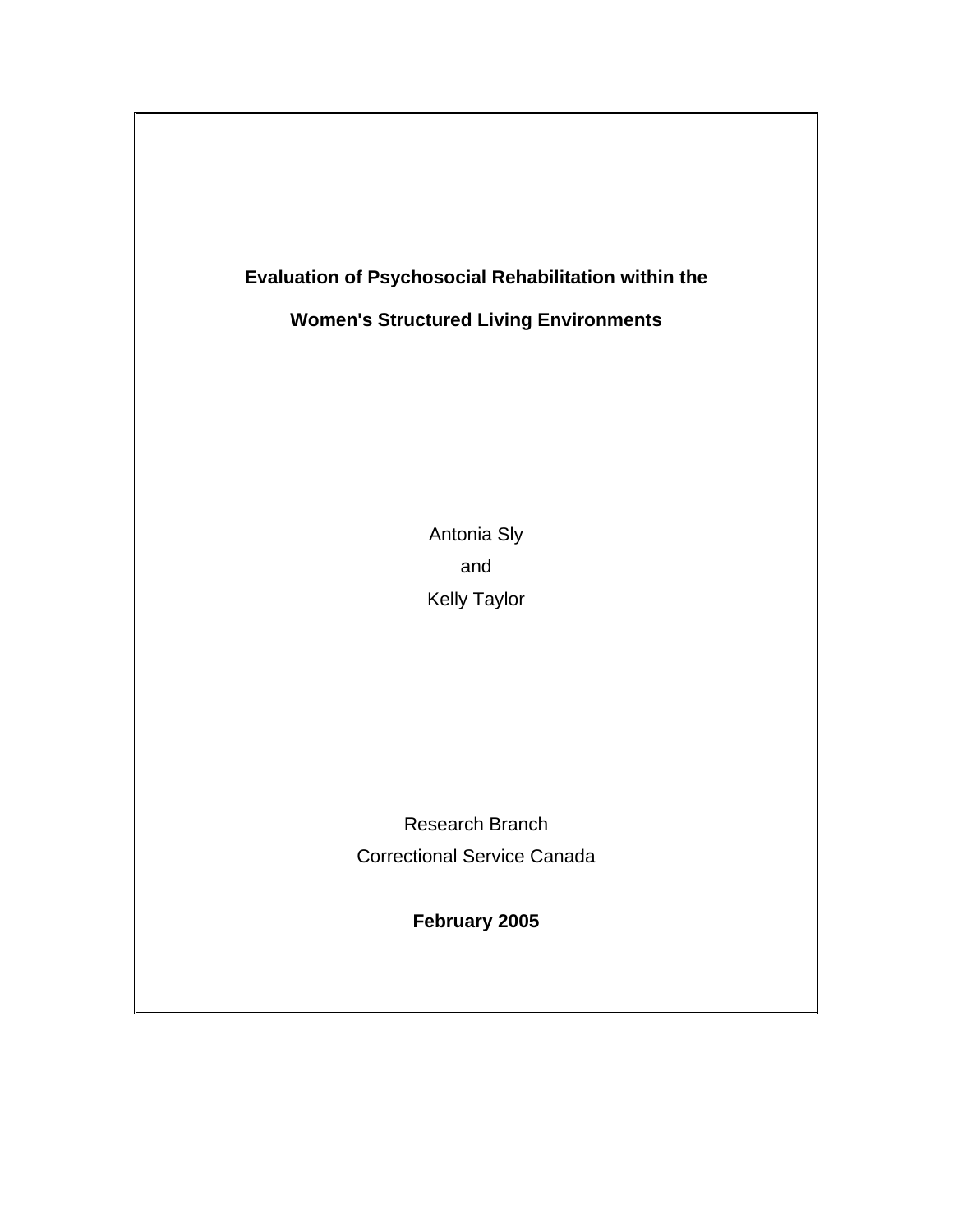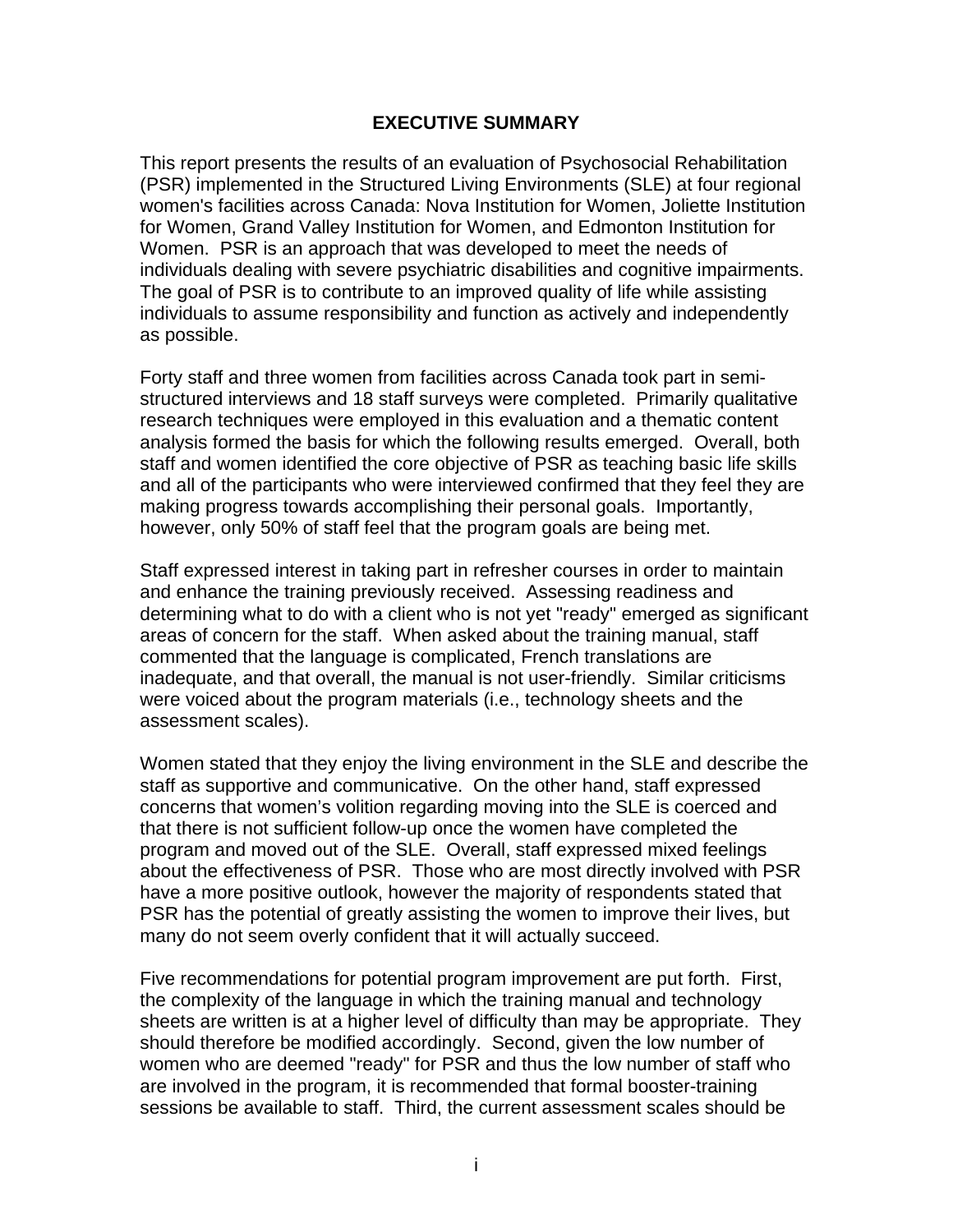### **EXECUTIVE SUMMARY**

<span id="page-2-0"></span>This report presents the results of an evaluation of Psychosocial Rehabilitation (PSR) implemented in the Structured Living Environments (SLE) at four regional women's facilities across Canada: Nova Institution for Women, Joliette Institution for Women, Grand Valley Institution for Women, and Edmonton Institution for Women. PSR is an approach that was developed to meet the needs of individuals dealing with severe psychiatric disabilities and cognitive impairments. The goal of PSR is to contribute to an improved quality of life while assisting individuals to assume responsibility and function as actively and independently as possible.

Forty staff and three women from facilities across Canada took part in semistructured interviews and 18 staff surveys were completed. Primarily qualitative research techniques were employed in this evaluation and a thematic content analysis formed the basis for which the following results emerged. Overall, both staff and women identified the core objective of PSR as teaching basic life skills and all of the participants who were interviewed confirmed that they feel they are making progress towards accomplishing their personal goals. Importantly, however, only 50% of staff feel that the program goals are being met.

Staff expressed interest in taking part in refresher courses in order to maintain and enhance the training previously received. Assessing readiness and determining what to do with a client who is not yet "ready" emerged as significant areas of concern for the staff. When asked about the training manual, staff commented that the language is complicated, French translations are inadequate, and that overall, the manual is not user-friendly. Similar criticisms were voiced about the program materials (i.e., technology sheets and the assessment scales).

Women stated that they enjoy the living environment in the SLE and describe the staff as supportive and communicative. On the other hand, staff expressed concerns that women's volition regarding moving into the SLE is coerced and that there is not sufficient follow-up once the women have completed the program and moved out of the SLE. Overall, staff expressed mixed feelings about the effectiveness of PSR. Those who are most directly involved with PSR have a more positive outlook, however the majority of respondents stated that PSR has the potential of greatly assisting the women to improve their lives, but many do not seem overly confident that it will actually succeed.

Five recommendations for potential program improvement are put forth. First, the complexity of the language in which the training manual and technology sheets are written is at a higher level of difficulty than may be appropriate. They should therefore be modified accordingly. Second, given the low number of women who are deemed "ready" for PSR and thus the low number of staff who are involved in the program, it is recommended that formal booster-training sessions be available to staff. Third, the current assessment scales should be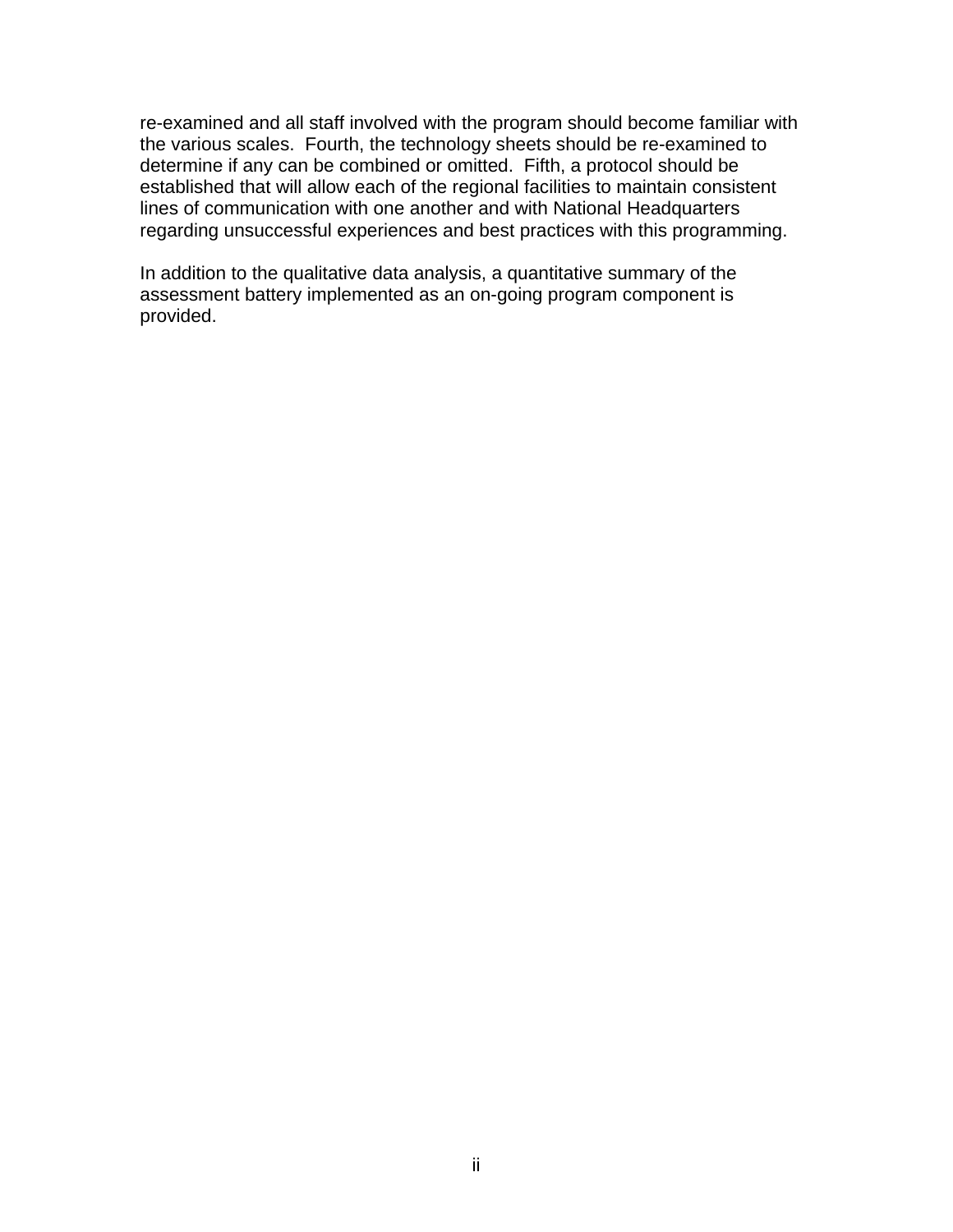re-examined and all staff involved with the program should become familiar with the various scales. Fourth, the technology sheets should be re-examined to determine if any can be combined or omitted. Fifth, a protocol should be established that will allow each of the regional facilities to maintain consistent lines of communication with one another and with National Headquarters regarding unsuccessful experiences and best practices with this programming.

In addition to the qualitative data analysis, a quantitative summary of the assessment battery implemented as an on-going program component is provided.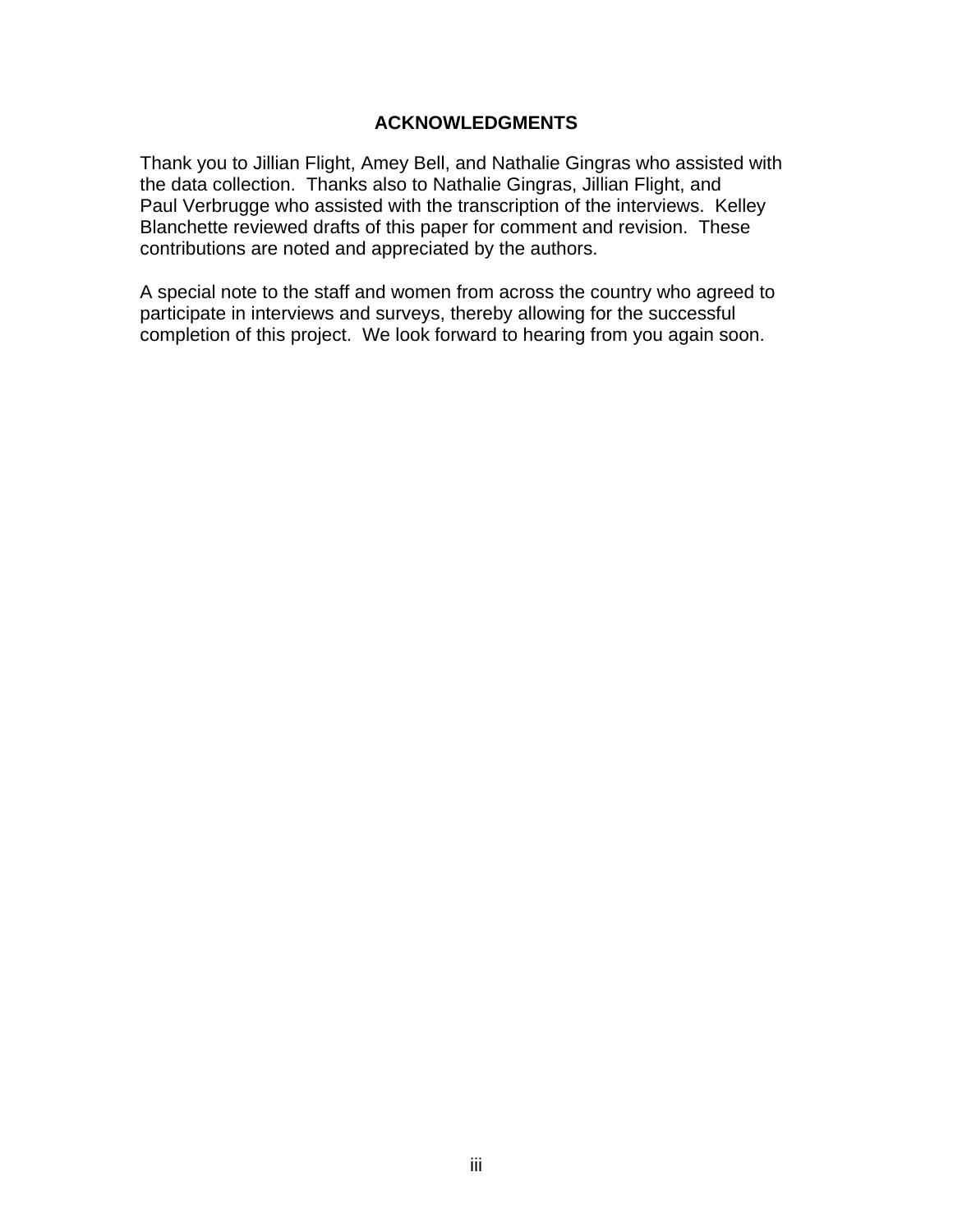## **ACKNOWLEDGMENTS**

<span id="page-4-0"></span>Thank you to Jillian Flight, Amey Bell, and Nathalie Gingras who assisted with the data collection. Thanks also to Nathalie Gingras, Jillian Flight, and Paul Verbrugge who assisted with the transcription of the interviews. Kelley Blanchette reviewed drafts of this paper for comment and revision. These contributions are noted and appreciated by the authors.

A special note to the staff and women from across the country who agreed to participate in interviews and surveys, thereby allowing for the successful completion of this project. We look forward to hearing from you again soon.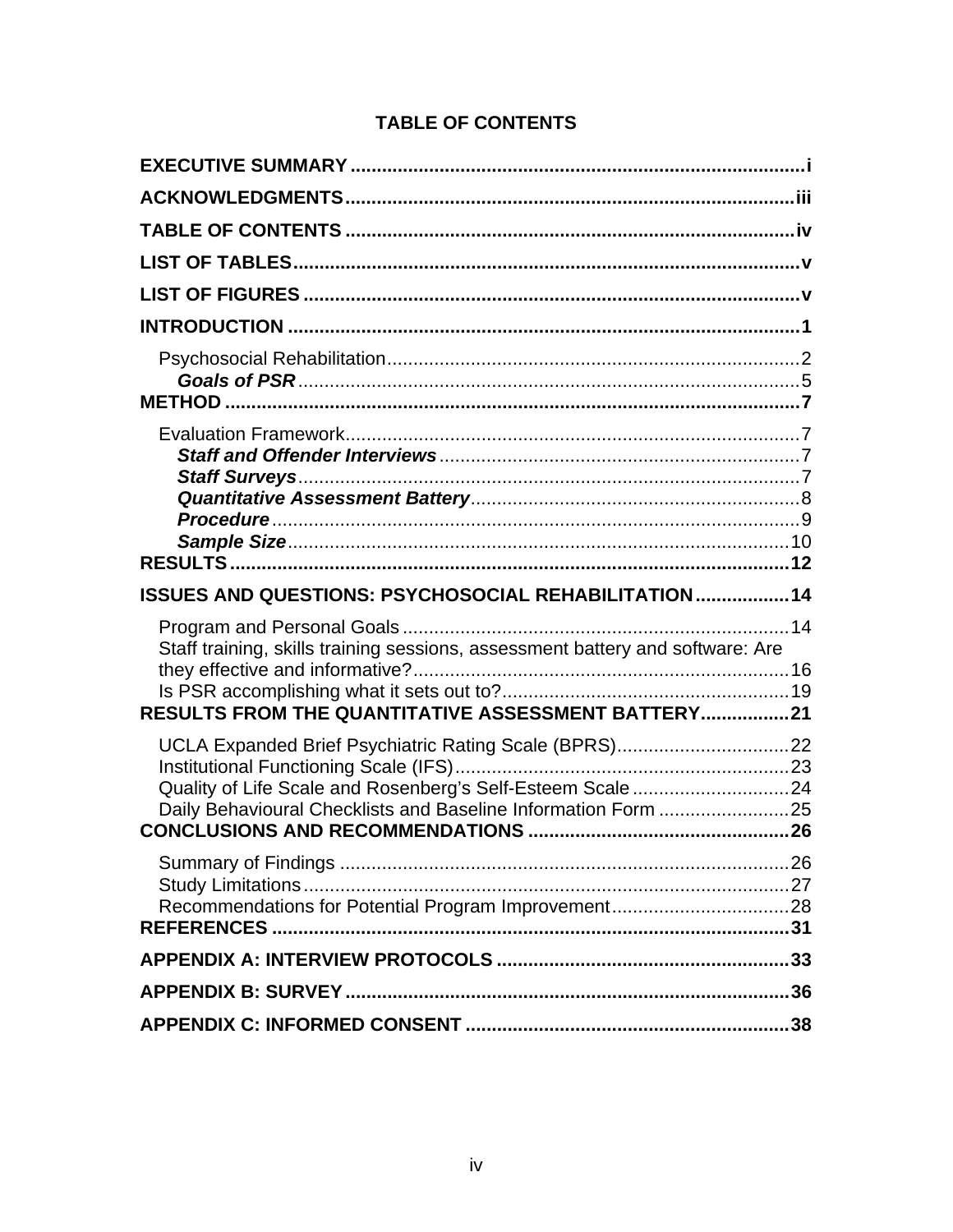# **TABLE OF CONTENTS**

<span id="page-5-0"></span>

| ISSUES AND QUESTIONS: PSYCHOSOCIAL REHABILITATION  14                          |  |
|--------------------------------------------------------------------------------|--|
| Staff training, skills training sessions, assessment battery and software: Are |  |
|                                                                                |  |
| RESULTS FROM THE QUANTITATIVE ASSESSMENT BATTERY21                             |  |
|                                                                                |  |
| Quality of Life Scale and Rosenberg's Self-Esteem Scale 24                     |  |
| Daily Behavioural Checklists and Baseline Information Form 25                  |  |
|                                                                                |  |
|                                                                                |  |
|                                                                                |  |
|                                                                                |  |
|                                                                                |  |
|                                                                                |  |
|                                                                                |  |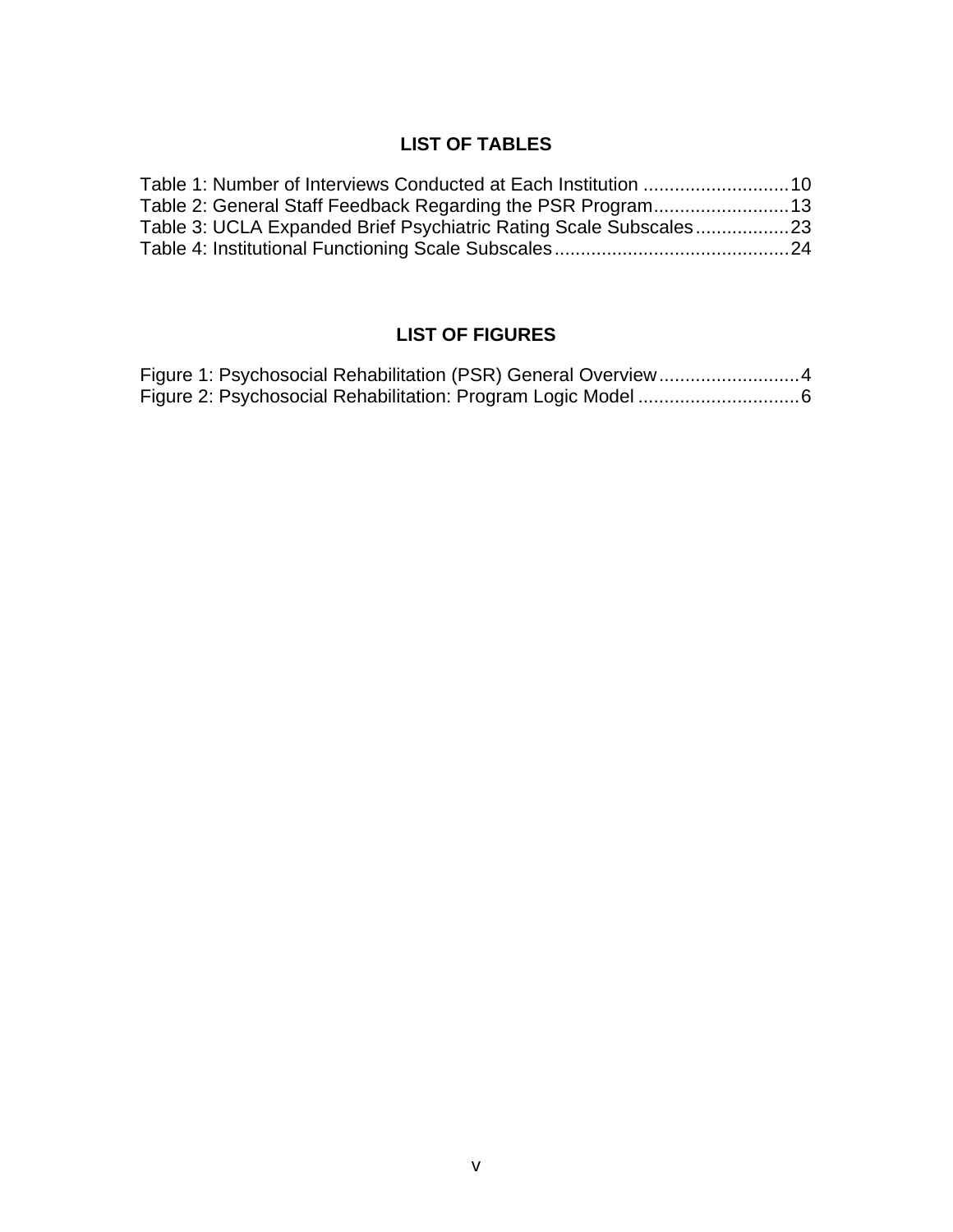# **LIST OF TABLES**

<span id="page-6-0"></span>

| Table 3: UCLA Expanded Brief Psychiatric Rating Scale Subscales23 |  |
|-------------------------------------------------------------------|--|
|                                                                   |  |

# **LIST OF FIGURES**

| Figure 1: Psychosocial Rehabilitation (PSR) General Overview4 |
|---------------------------------------------------------------|
|                                                               |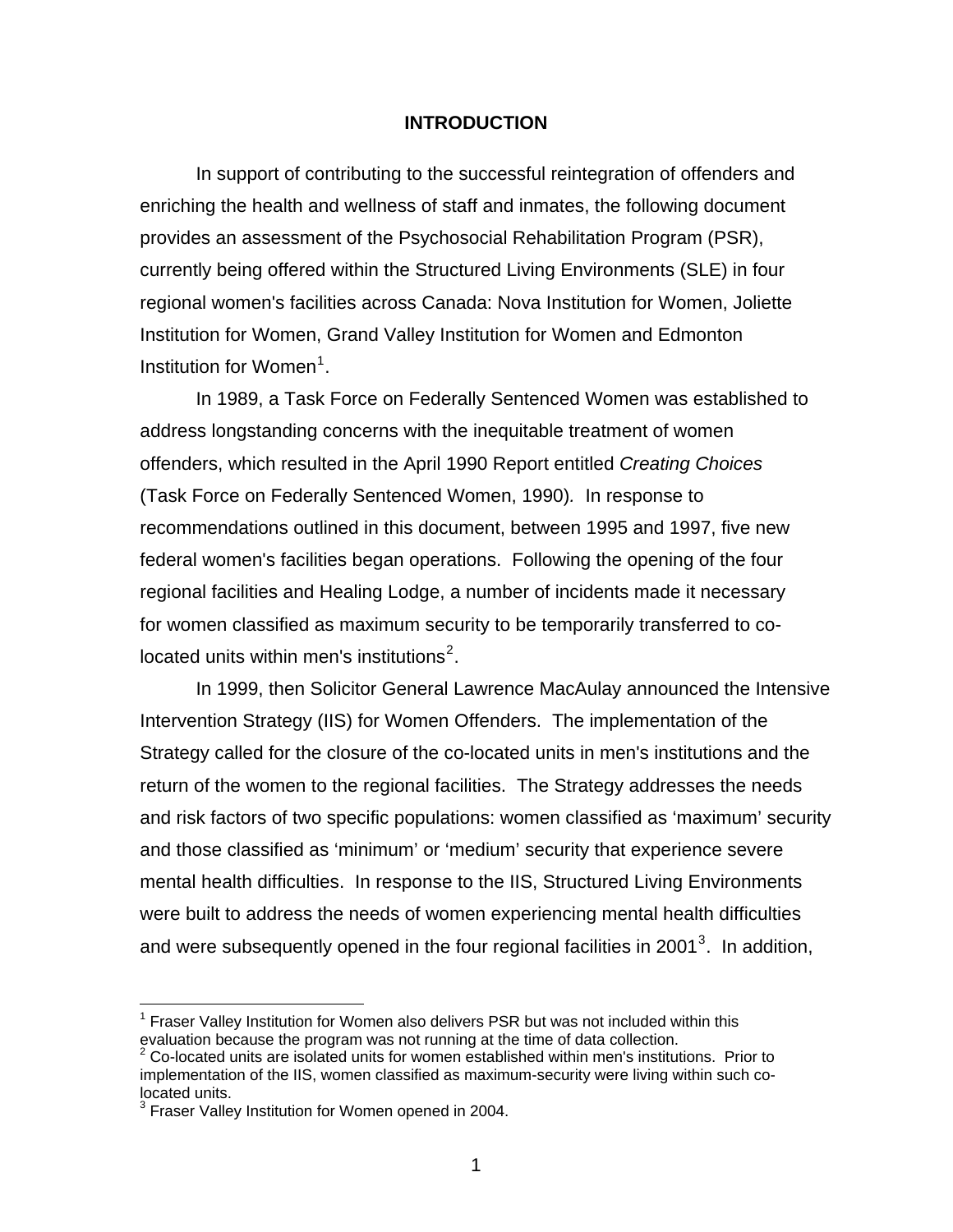#### **INTRODUCTION**

<span id="page-7-0"></span>In support of contributing to the successful reintegration of offenders and enriching the health and wellness of staff and inmates, the following document provides an assessment of the Psychosocial Rehabilitation Program (PSR), currently being offered within the Structured Living Environments (SLE) in four regional women's facilities across Canada: Nova Institution for Women, Joliette Institution for Women, Grand Valley Institution for Women and Edmonton Institution for Women<sup>[1](#page-7-1)</sup>.

In 1989, a Task Force on Federally Sentenced Women was established to address longstanding concerns with the inequitable treatment of women offenders, which resulted in the April 1990 Report entitled *Creating Choices*  (Task Force on Federally Sentenced Women, 1990)*.* In response to recommendations outlined in this document, between 1995 and 1997, five new federal women's facilities began operations. Following the opening of the four regional facilities and Healing Lodge, a number of incidents made it necessary for women classified as maximum security to be temporarily transferred to co-located units within men's institutions<sup>[2](#page-7-2)</sup>.

In 1999, then Solicitor General Lawrence MacAulay announced the Intensive Intervention Strategy (IIS) for Women Offenders. The implementation of the Strategy called for the closure of the co-located units in men's institutions and the return of the women to the regional facilities. The Strategy addresses the needs and risk factors of two specific populations: women classified as 'maximum' security and those classified as 'minimum' or 'medium' security that experience severe mental health difficulties. In response to the IIS, Structured Living Environments were built to address the needs of women experiencing mental health difficulties and were subsequently opened in the four regional facilities in 2001<sup>[3](#page-7-3)</sup>. In addition,

 $\overline{a}$ 

<span id="page-7-1"></span><sup>&</sup>lt;sup>1</sup> Fraser Valley Institution for Women also delivers PSR but was not included within this evaluation because the program was not running at the time of data collection.

<span id="page-7-2"></span>Co-located units are isolated units for women established within men's institutions. Prior to implementation of the IIS, women classified as maximum-security were living within such colocated units.

<span id="page-7-3"></span><sup>&</sup>lt;sup>3</sup> Fraser Valley Institution for Women opened in 2004.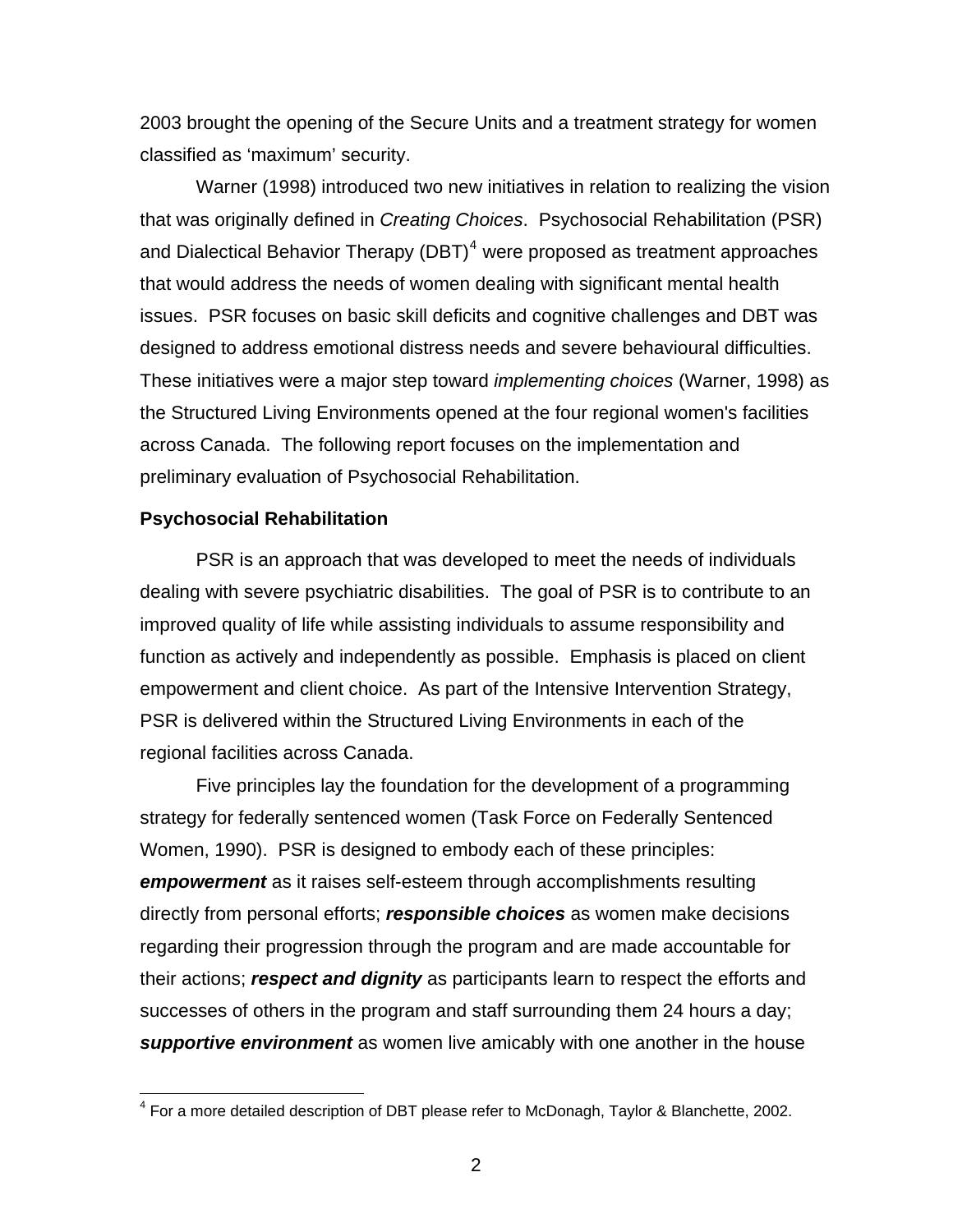<span id="page-8-0"></span>2003 brought the opening of the Secure Units and a treatment strategy for women classified as 'maximum' security.

Warner (1998) introduced two new initiatives in relation to realizing the vision that was originally defined in *Creating Choices*. Psychosocial Rehabilitation (PSR) and Dialectical Behavior Therapy (DBT) $<sup>4</sup>$  $<sup>4</sup>$  $<sup>4</sup>$  were proposed as treatment approaches</sup> that would address the needs of women dealing with significant mental health issues. PSR focuses on basic skill deficits and cognitive challenges and DBT was designed to address emotional distress needs and severe behavioural difficulties. These initiatives were a major step toward *implementing choices* (Warner, 1998) as the Structured Living Environments opened at the four regional women's facilities across Canada. The following report focuses on the implementation and preliminary evaluation of Psychosocial Rehabilitation.

### **Psychosocial Rehabilitation**

PSR is an approach that was developed to meet the needs of individuals dealing with severe psychiatric disabilities. The goal of PSR is to contribute to an improved quality of life while assisting individuals to assume responsibility and function as actively and independently as possible. Emphasis is placed on client empowerment and client choice. As part of the Intensive Intervention Strategy, PSR is delivered within the Structured Living Environments in each of the regional facilities across Canada.

Five principles lay the foundation for the development of a programming strategy for federally sentenced women (Task Force on Federally Sentenced Women, 1990). PSR is designed to embody each of these principles: *empowerment* as it raises self-esteem through accomplishments resulting directly from personal efforts; *responsible choices* as women make decisions regarding their progression through the program and are made accountable for their actions; *respect and dignity* as participants learn to respect the efforts and successes of others in the program and staff surrounding them 24 hours a day; *supportive environment* as women live amicably with one another in the house

<span id="page-8-1"></span> 4 For a more detailed description of DBT please refer to McDonagh, Taylor & Blanchette, 2002.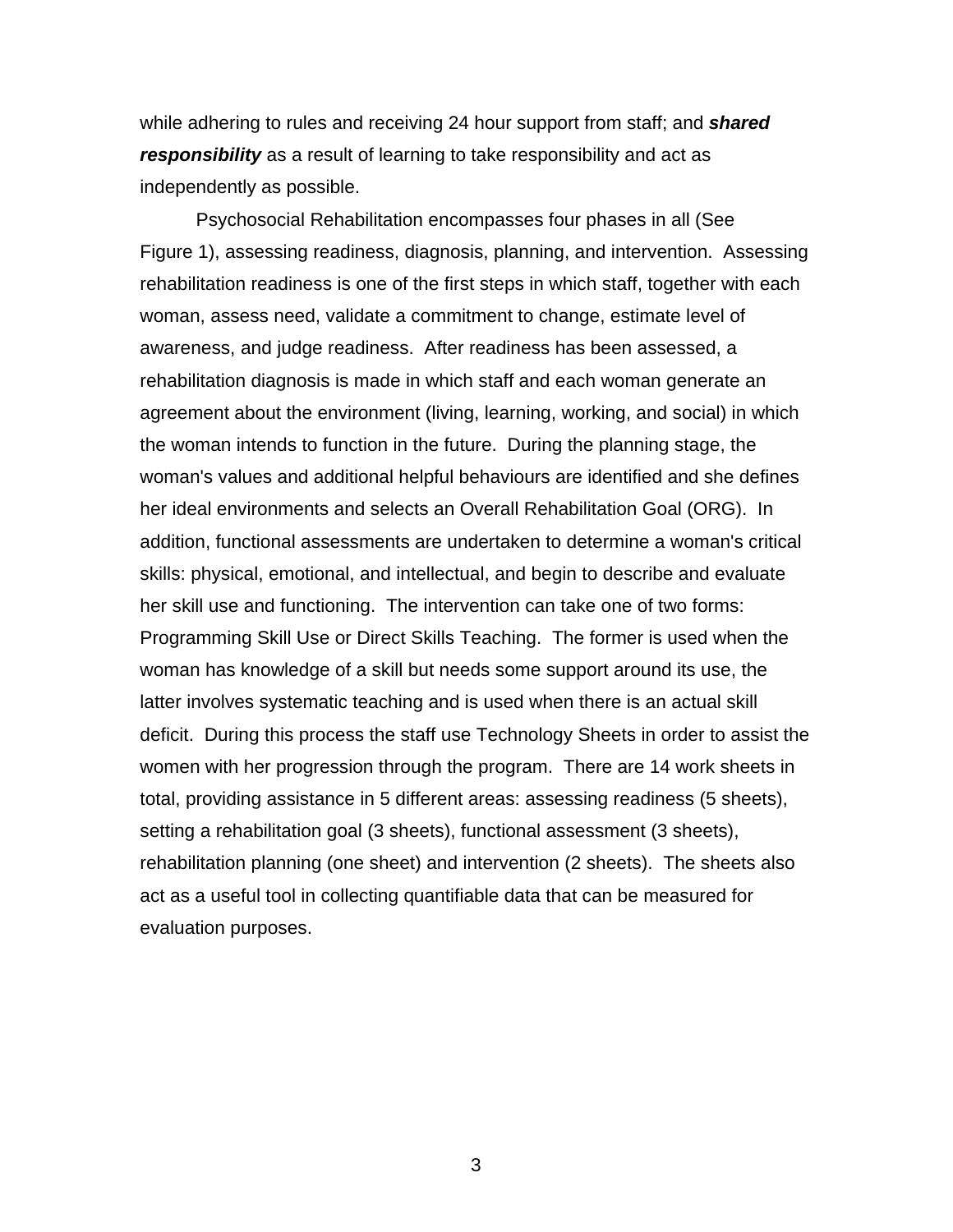while adhering to rules and receiving 24 hour support from staff; and *shared responsibility* as a result of learning to take responsibility and act as independently as possible.

Psychosocial Rehabilitation encompasses four phases in all (See Figure 1), assessing readiness, diagnosis, planning, and intervention. Assessing rehabilitation readiness is one of the first steps in which staff, together with each woman, assess need, validate a commitment to change, estimate level of awareness, and judge readiness. After readiness has been assessed, a rehabilitation diagnosis is made in which staff and each woman generate an agreement about the environment (living, learning, working, and social) in which the woman intends to function in the future. During the planning stage, the woman's values and additional helpful behaviours are identified and she defines her ideal environments and selects an Overall Rehabilitation Goal (ORG). In addition, functional assessments are undertaken to determine a woman's critical skills: physical, emotional, and intellectual, and begin to describe and evaluate her skill use and functioning. The intervention can take one of two forms: Programming Skill Use or Direct Skills Teaching. The former is used when the woman has knowledge of a skill but needs some support around its use, the latter involves systematic teaching and is used when there is an actual skill deficit. During this process the staff use Technology Sheets in order to assist the women with her progression through the program. There are 14 work sheets in total, providing assistance in 5 different areas: assessing readiness (5 sheets), setting a rehabilitation goal (3 sheets), functional assessment (3 sheets), rehabilitation planning (one sheet) and intervention (2 sheets). The sheets also act as a useful tool in collecting quantifiable data that can be measured for evaluation purposes.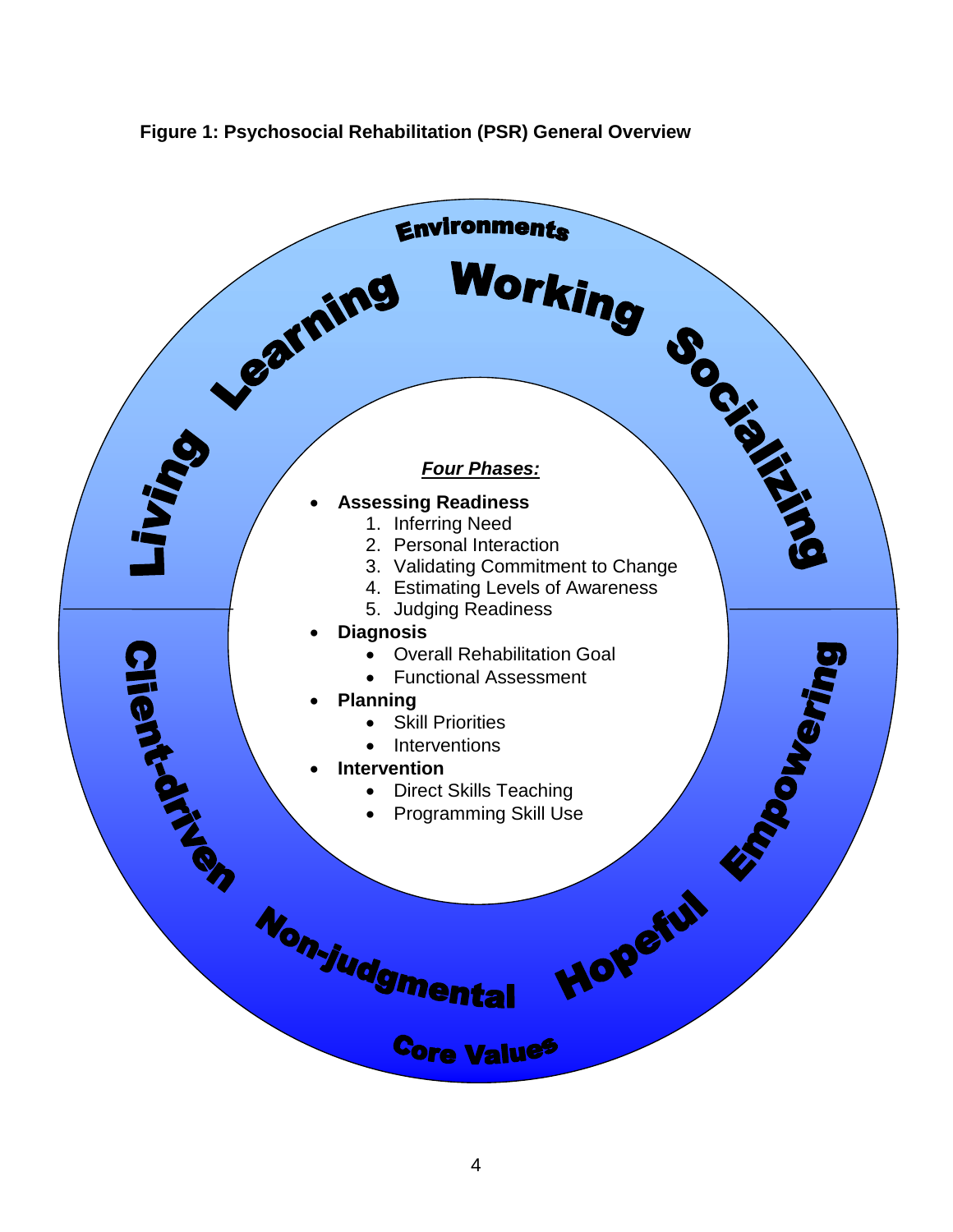<span id="page-10-0"></span>

### **Figure 1: Psychosocial Rehabilitation (PSR) General Overview**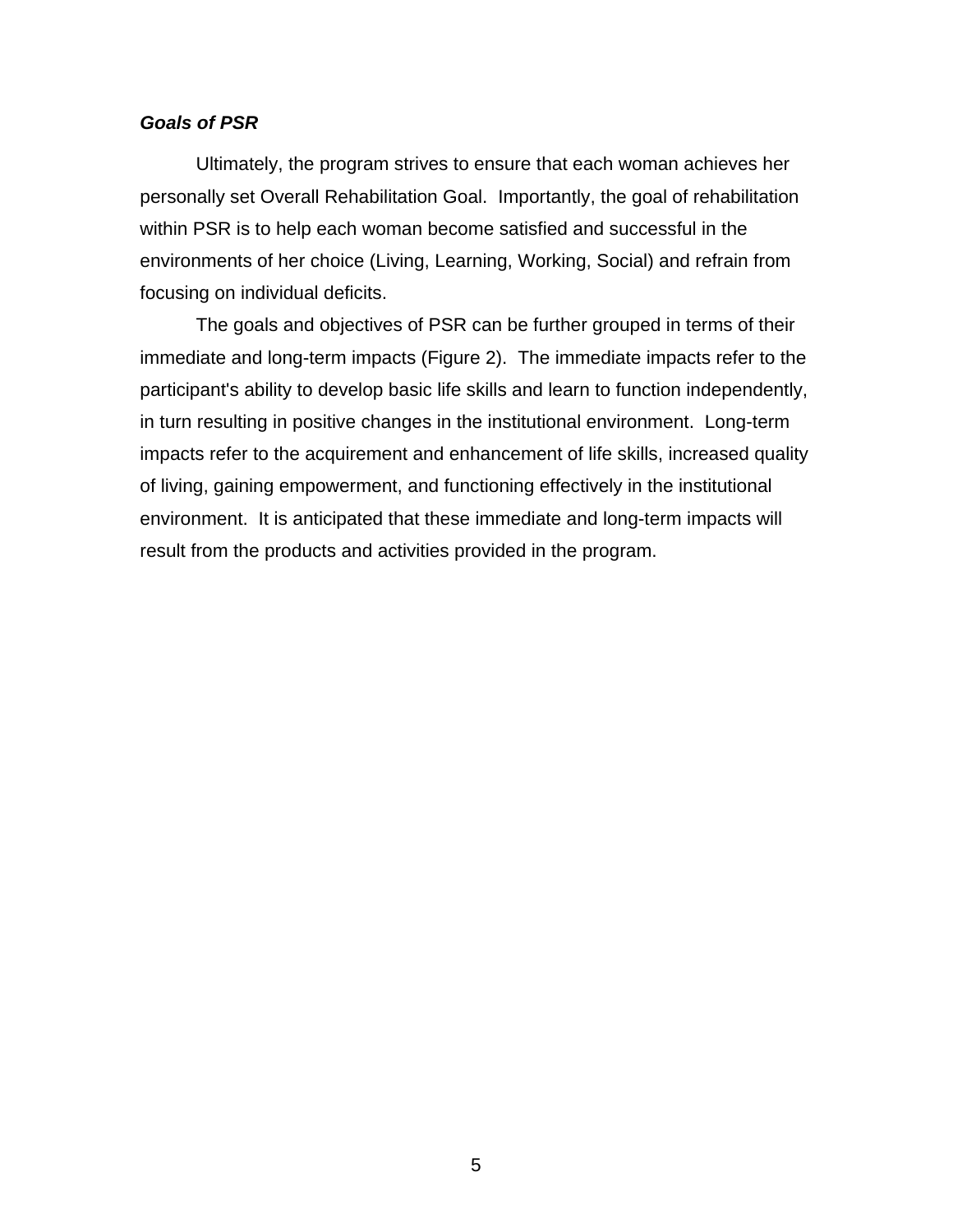### <span id="page-11-0"></span>*Goals of PSR*

Ultimately, the program strives to ensure that each woman achieves her personally set Overall Rehabilitation Goal. Importantly, the goal of rehabilitation within PSR is to help each woman become satisfied and successful in the environments of her choice (Living, Learning, Working, Social) and refrain from focusing on individual deficits.

The goals and objectives of PSR can be further grouped in terms of their immediate and long-term impacts (Figure 2). The immediate impacts refer to the participant's ability to develop basic life skills and learn to function independently, in turn resulting in positive changes in the institutional environment. Long-term impacts refer to the acquirement and enhancement of life skills, increased quality of living, gaining empowerment, and functioning effectively in the institutional environment. It is anticipated that these immediate and long-term impacts will result from the products and activities provided in the program.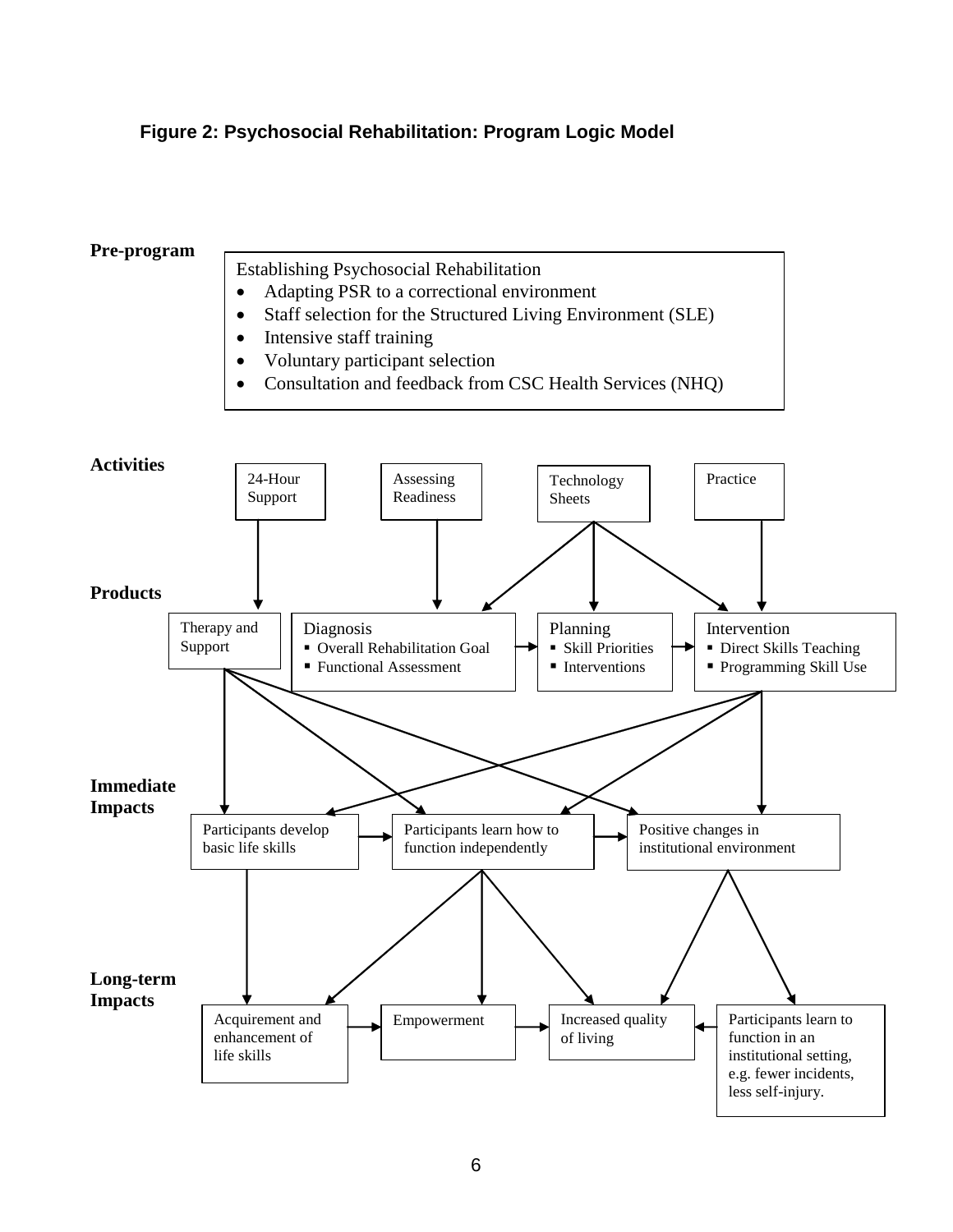# <span id="page-12-0"></span>**Figure 2: Psychosocial Rehabilitation: Program Logic Model**

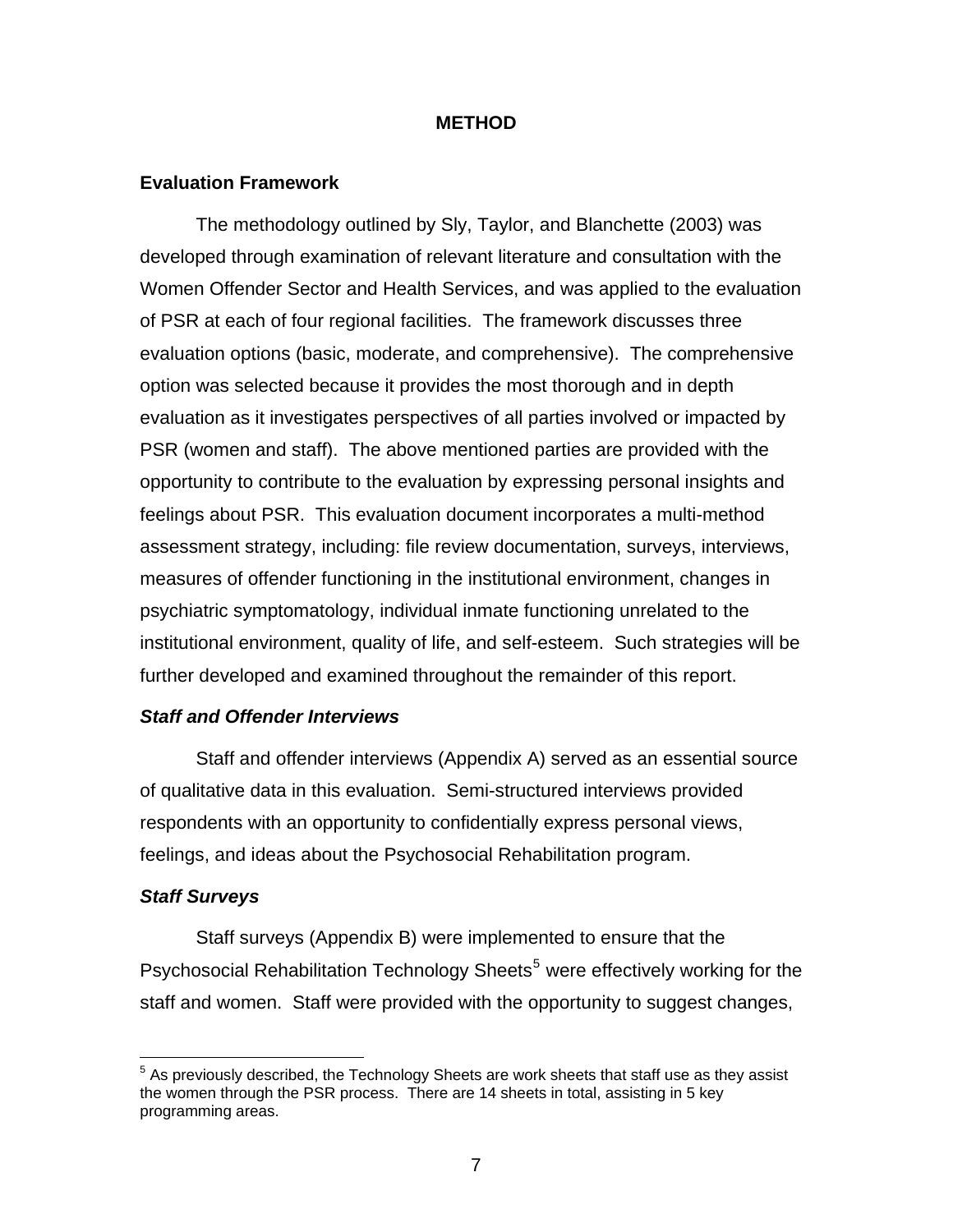### **METHOD**

### <span id="page-13-0"></span>**Evaluation Framework**

The methodology outlined by Sly, Taylor, and Blanchette (2003) was developed through examination of relevant literature and consultation with the Women Offender Sector and Health Services, and was applied to the evaluation of PSR at each of four regional facilities. The framework discusses three evaluation options (basic, moderate, and comprehensive). The comprehensive option was selected because it provides the most thorough and in depth evaluation as it investigates perspectives of all parties involved or impacted by PSR (women and staff). The above mentioned parties are provided with the opportunity to contribute to the evaluation by expressing personal insights and feelings about PSR. This evaluation document incorporates a multi-method assessment strategy, including: file review documentation, surveys, interviews, measures of offender functioning in the institutional environment, changes in psychiatric symptomatology, individual inmate functioning unrelated to the institutional environment, quality of life, and self-esteem. Such strategies will be further developed and examined throughout the remainder of this report.

#### *Staff and Offender Interviews*

Staff and offender interviews (Appendix A) served as an essential source of qualitative data in this evaluation. Semi-structured interviews provided respondents with an opportunity to confidentially express personal views, feelings, and ideas about the Psychosocial Rehabilitation program.

#### *Staff Surveys*

 $\overline{a}$ 

Staff surveys (Appendix B) were implemented to ensure that the Psychosocial Rehabilitation Technology Sheets<sup>[5](#page-13-1)</sup> were effectively working for the staff and women. Staff were provided with the opportunity to suggest changes,

<span id="page-13-1"></span> $5$  As previously described, the Technology Sheets are work sheets that staff use as they assist the women through the PSR process. There are 14 sheets in total, assisting in 5 key programming areas.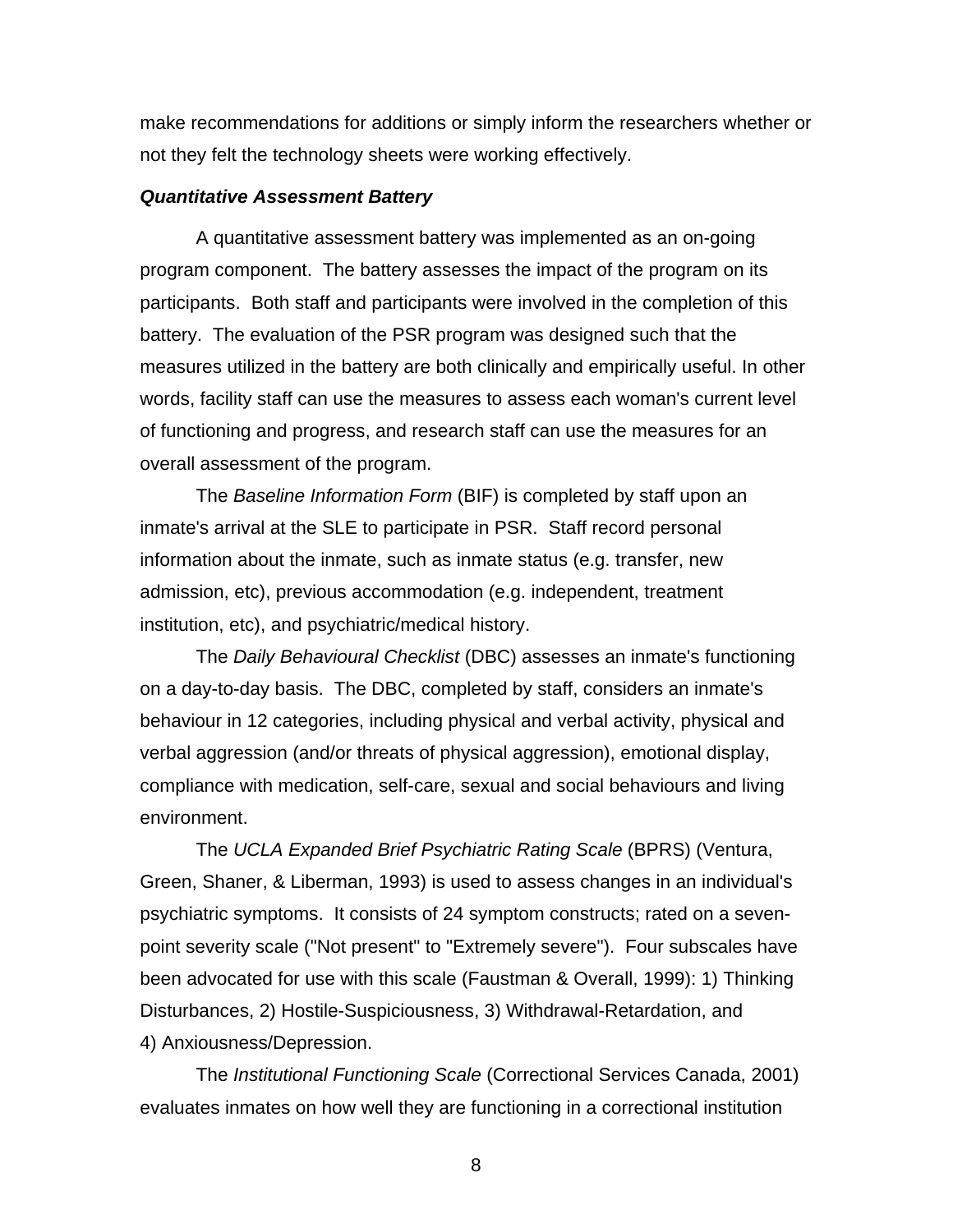<span id="page-14-0"></span>make recommendations for additions or simply inform the researchers whether or not they felt the technology sheets were working effectively.

#### *Quantitative Assessment Battery*

A quantitative assessment battery was implemented as an on-going program component. The battery assesses the impact of the program on its participants. Both staff and participants were involved in the completion of this battery. The evaluation of the PSR program was designed such that the measures utilized in the battery are both clinically and empirically useful. In other words, facility staff can use the measures to assess each woman's current level of functioning and progress, and research staff can use the measures for an overall assessment of the program.

The *Baseline Information Form* (BIF) is completed by staff upon an inmate's arrival at the SLE to participate in PSR. Staff record personal information about the inmate, such as inmate status (e.g. transfer, new admission, etc), previous accommodation (e.g. independent, treatment institution, etc), and psychiatric/medical history.

The *Daily Behavioural Checklist* (DBC) assesses an inmate's functioning on a day-to-day basis. The DBC, completed by staff, considers an inmate's behaviour in 12 categories, including physical and verbal activity, physical and verbal aggression (and/or threats of physical aggression), emotional display, compliance with medication, self-care, sexual and social behaviours and living environment.

The *UCLA Expanded Brief Psychiatric Rating Scale* (BPRS) (Ventura, Green, Shaner, & Liberman, 1993) is used to assess changes in an individual's psychiatric symptoms. It consists of 24 symptom constructs; rated on a sevenpoint severity scale ("Not present" to "Extremely severe"). Four subscales have been advocated for use with this scale (Faustman & Overall, 1999): 1) Thinking Disturbances, 2) Hostile-Suspiciousness, 3) Withdrawal-Retardation, and 4) Anxiousness/Depression.

The *Institutional Functioning Scale* (Correctional Services Canada, 2001) evaluates inmates on how well they are functioning in a correctional institution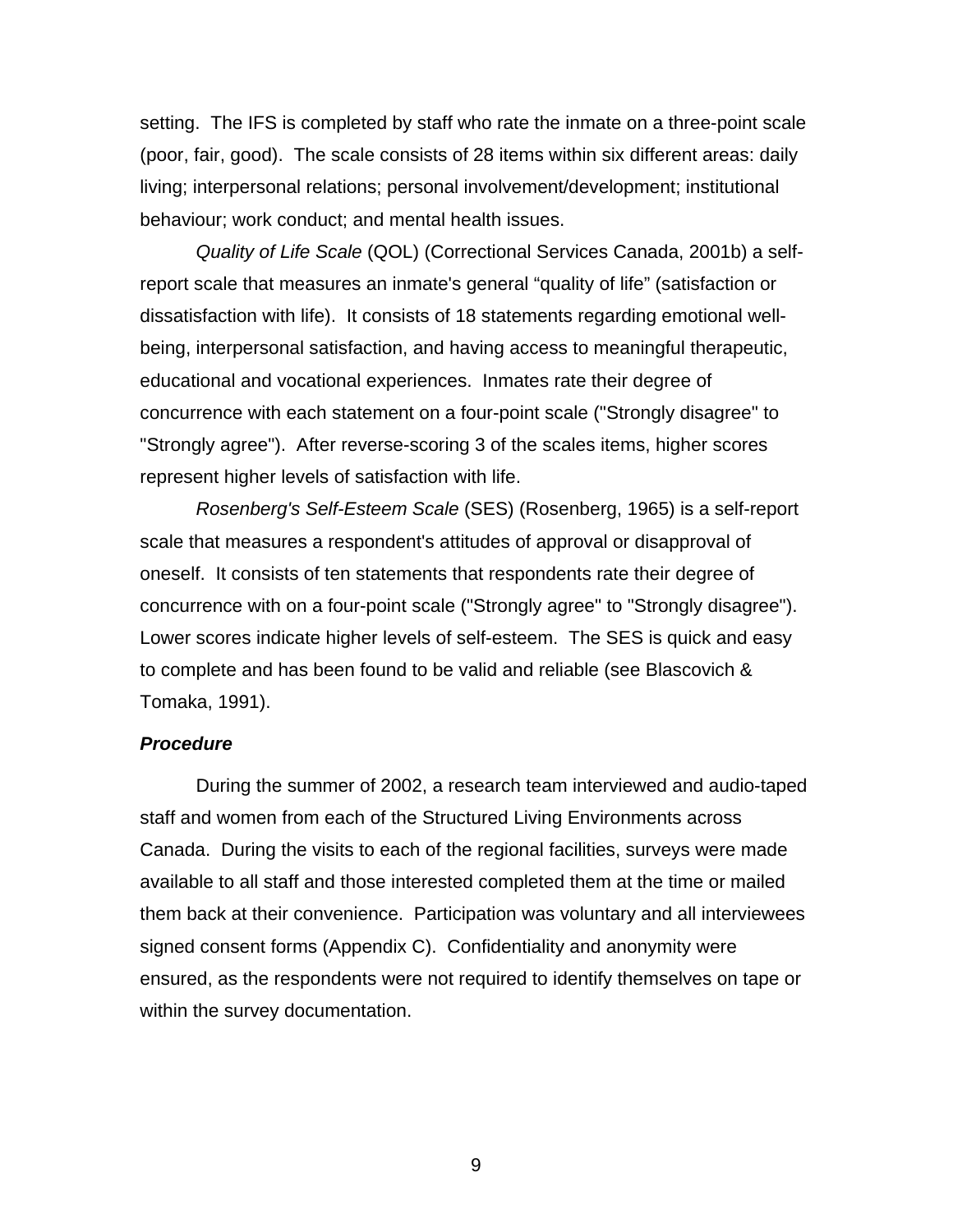<span id="page-15-0"></span>setting. The IFS is completed by staff who rate the inmate on a three-point scale (poor, fair, good). The scale consists of 28 items within six different areas: daily living; interpersonal relations; personal involvement/development; institutional behaviour; work conduct; and mental health issues.

*Quality of Life Scale* (QOL) (Correctional Services Canada, 2001b) a selfreport scale that measures an inmate's general "quality of life" (satisfaction or dissatisfaction with life). It consists of 18 statements regarding emotional wellbeing, interpersonal satisfaction, and having access to meaningful therapeutic, educational and vocational experiences. Inmates rate their degree of concurrence with each statement on a four-point scale ("Strongly disagree" to "Strongly agree"). After reverse-scoring 3 of the scales items, higher scores represent higher levels of satisfaction with life.

*Rosenberg's Self-Esteem Scale* (SES) (Rosenberg, 1965) is a self-report scale that measures a respondent's attitudes of approval or disapproval of oneself. It consists of ten statements that respondents rate their degree of concurrence with on a four-point scale ("Strongly agree" to "Strongly disagree"). Lower scores indicate higher levels of self-esteem. The SES is quick and easy to complete and has been found to be valid and reliable (see Blascovich & Tomaka, 1991).

### *Procedure*

During the summer of 2002, a research team interviewed and audio-taped staff and women from each of the Structured Living Environments across Canada. During the visits to each of the regional facilities, surveys were made available to all staff and those interested completed them at the time or mailed them back at their convenience. Participation was voluntary and all interviewees signed consent forms (Appendix C). Confidentiality and anonymity were ensured, as the respondents were not required to identify themselves on tape or within the survey documentation.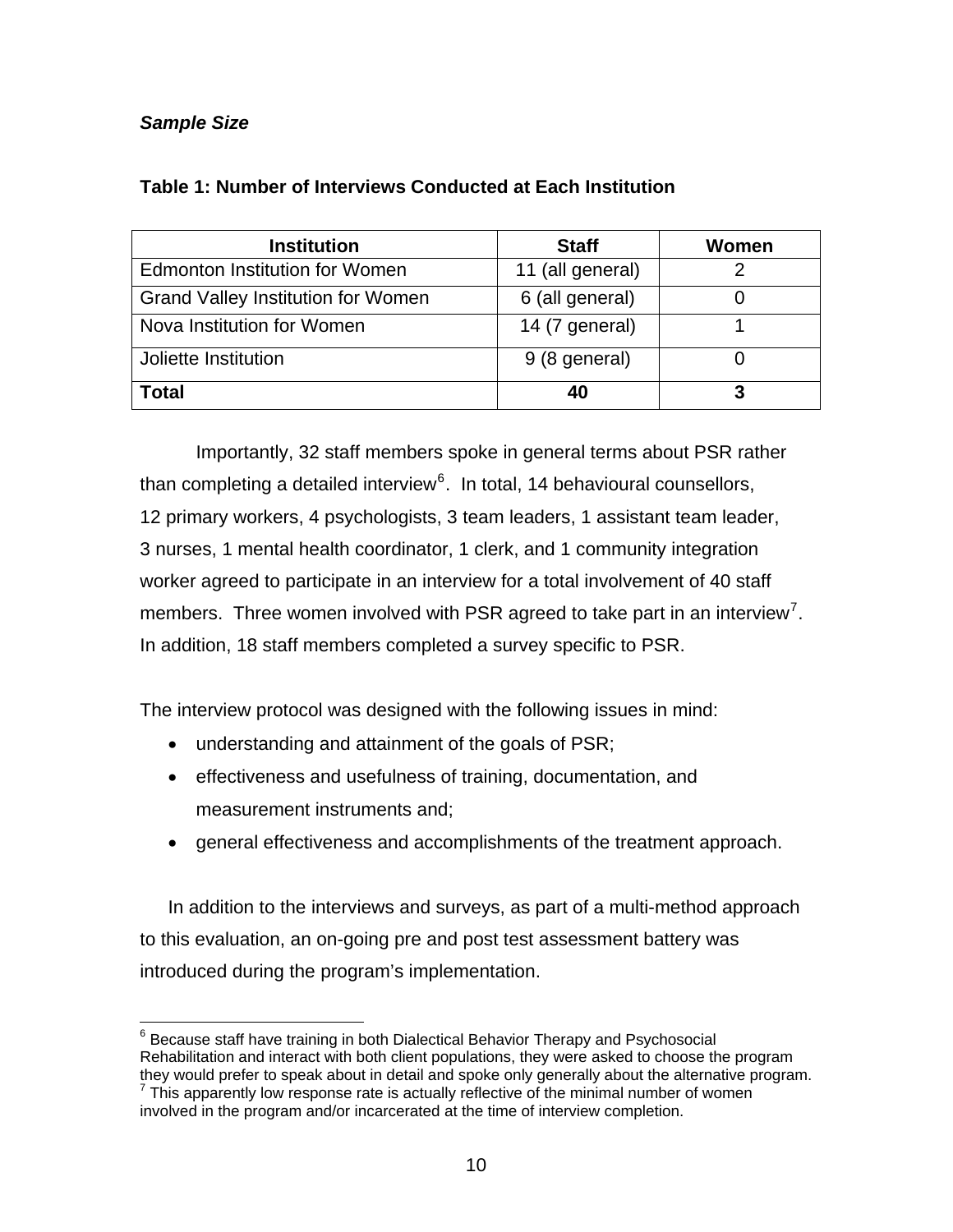# <span id="page-16-0"></span>*Sample Size*

| <b>Institution</b>                        | <b>Staff</b>     | Women |
|-------------------------------------------|------------------|-------|
| <b>Edmonton Institution for Women</b>     | 11 (all general) |       |
| <b>Grand Valley Institution for Women</b> | 6 (all general)  |       |
| Nova Institution for Women                | 14 (7 general)   |       |
| Joliette Institution                      | 9 (8 general)    |       |
| Total                                     | 40               |       |

# **Table 1: Number of Interviews Conducted at Each Institution**

Importantly, 32 staff members spoke in general terms about PSR rather than completing a detailed interview<sup>[6](#page-16-1)</sup>. In total, 14 behavioural counsellors, 12 primary workers, 4 psychologists, 3 team leaders, 1 assistant team leader, 3 nurses, 1 mental health coordinator, 1 clerk, and 1 community integration worker agreed to participate in an interview for a total involvement of 40 staff members. Three women involved with PSR agreed to take part in an interview<sup>[7](#page-16-2)</sup>. In addition, 18 staff members completed a survey specific to PSR.

The interview protocol was designed with the following issues in mind:

- understanding and attainment of the goals of PSR;
- effectiveness and usefulness of training, documentation, and measurement instruments and;
- general effectiveness and accomplishments of the treatment approach.

In addition to the interviews and surveys, as part of a multi-method approach to this evaluation, an on-going pre and post test assessment battery was introduced during the program's implementation.

<span id="page-16-1"></span> 6 Because staff have training in both Dialectical Behavior Therapy and Psychosocial Rehabilitation and interact with both client populations, they were asked to choose the program they would prefer to speak about in detail and spoke only generally about the alternative program.

<span id="page-16-2"></span>This apparently low response rate is actually reflective of the minimal number of women involved in the program and/or incarcerated at the time of interview completion.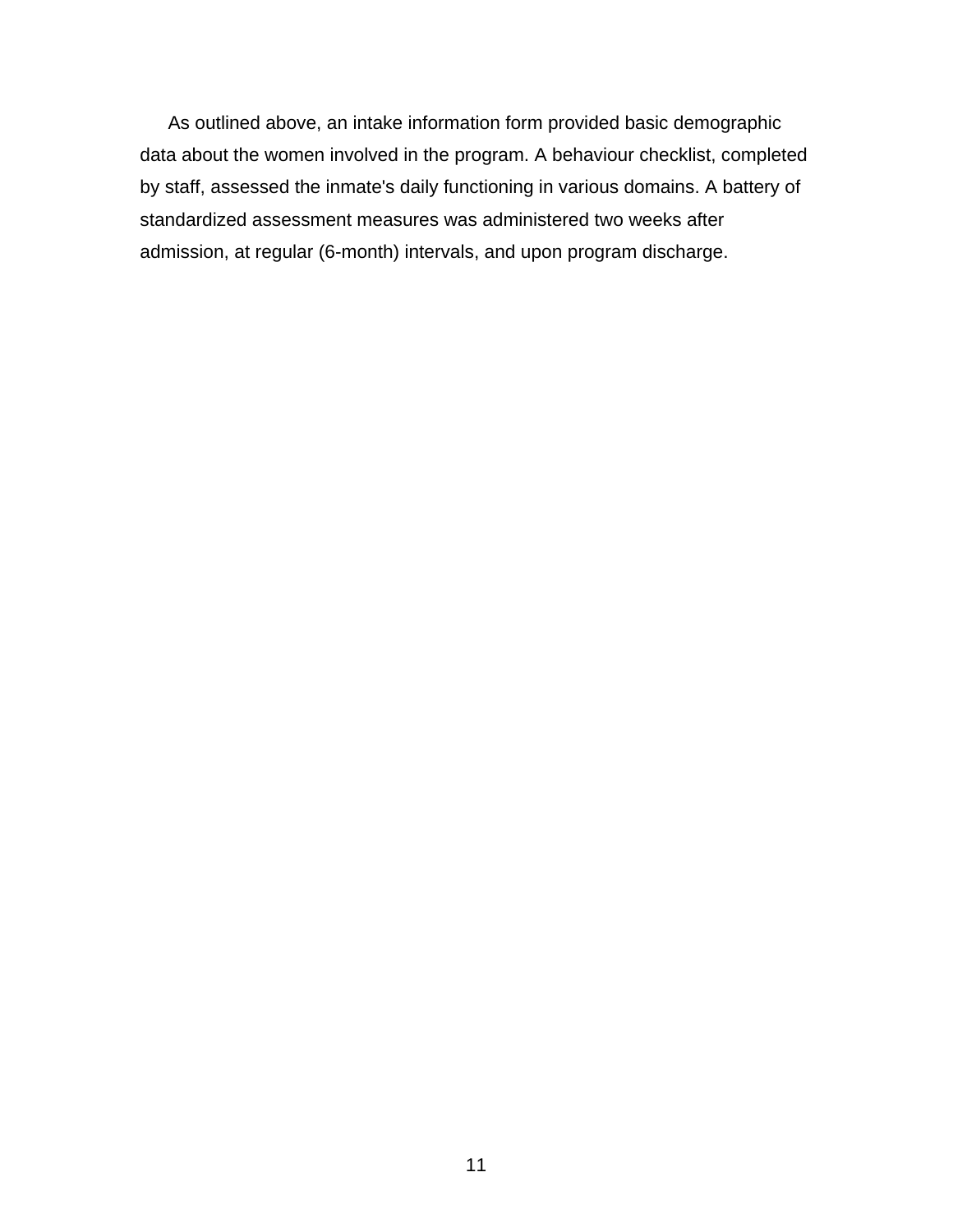As outlined above, an intake information form provided basic demographic data about the women involved in the program. A behaviour checklist, completed by staff, assessed the inmate's daily functioning in various domains. A battery of standardized assessment measures was administered two weeks after admission, at regular (6-month) intervals, and upon program discharge.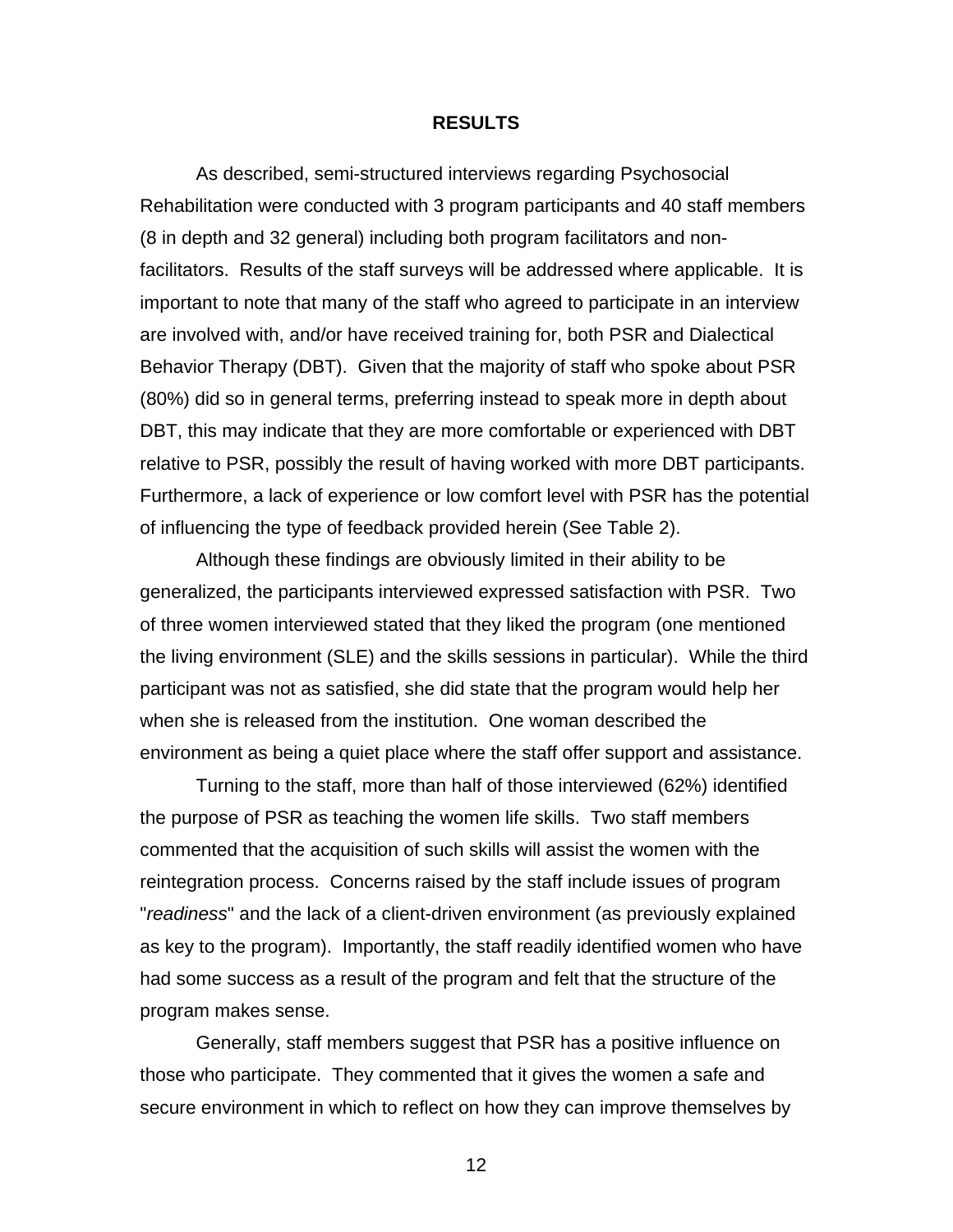#### **RESULTS**

<span id="page-18-0"></span>As described, semi-structured interviews regarding Psychosocial Rehabilitation were conducted with 3 program participants and 40 staff members (8 in depth and 32 general) including both program facilitators and nonfacilitators. Results of the staff surveys will be addressed where applicable. It is important to note that many of the staff who agreed to participate in an interview are involved with, and/or have received training for, both PSR and Dialectical Behavior Therapy (DBT). Given that the majority of staff who spoke about PSR (80%) did so in general terms, preferring instead to speak more in depth about DBT, this may indicate that they are more comfortable or experienced with DBT relative to PSR, possibly the result of having worked with more DBT participants. Furthermore, a lack of experience or low comfort level with PSR has the potential of influencing the type of feedback provided herein (See Table 2).

Although these findings are obviously limited in their ability to be generalized, the participants interviewed expressed satisfaction with PSR. Two of three women interviewed stated that they liked the program (one mentioned the living environment (SLE) and the skills sessions in particular). While the third participant was not as satisfied, she did state that the program would help her when she is released from the institution. One woman described the environment as being a quiet place where the staff offer support and assistance.

Turning to the staff, more than half of those interviewed (62%) identified the purpose of PSR as teaching the women life skills. Two staff members commented that the acquisition of such skills will assist the women with the reintegration process. Concerns raised by the staff include issues of program "*readiness*" and the lack of a client-driven environment (as previously explained as key to the program). Importantly, the staff readily identified women who have had some success as a result of the program and felt that the structure of the program makes sense.

Generally, staff members suggest that PSR has a positive influence on those who participate. They commented that it gives the women a safe and secure environment in which to reflect on how they can improve themselves by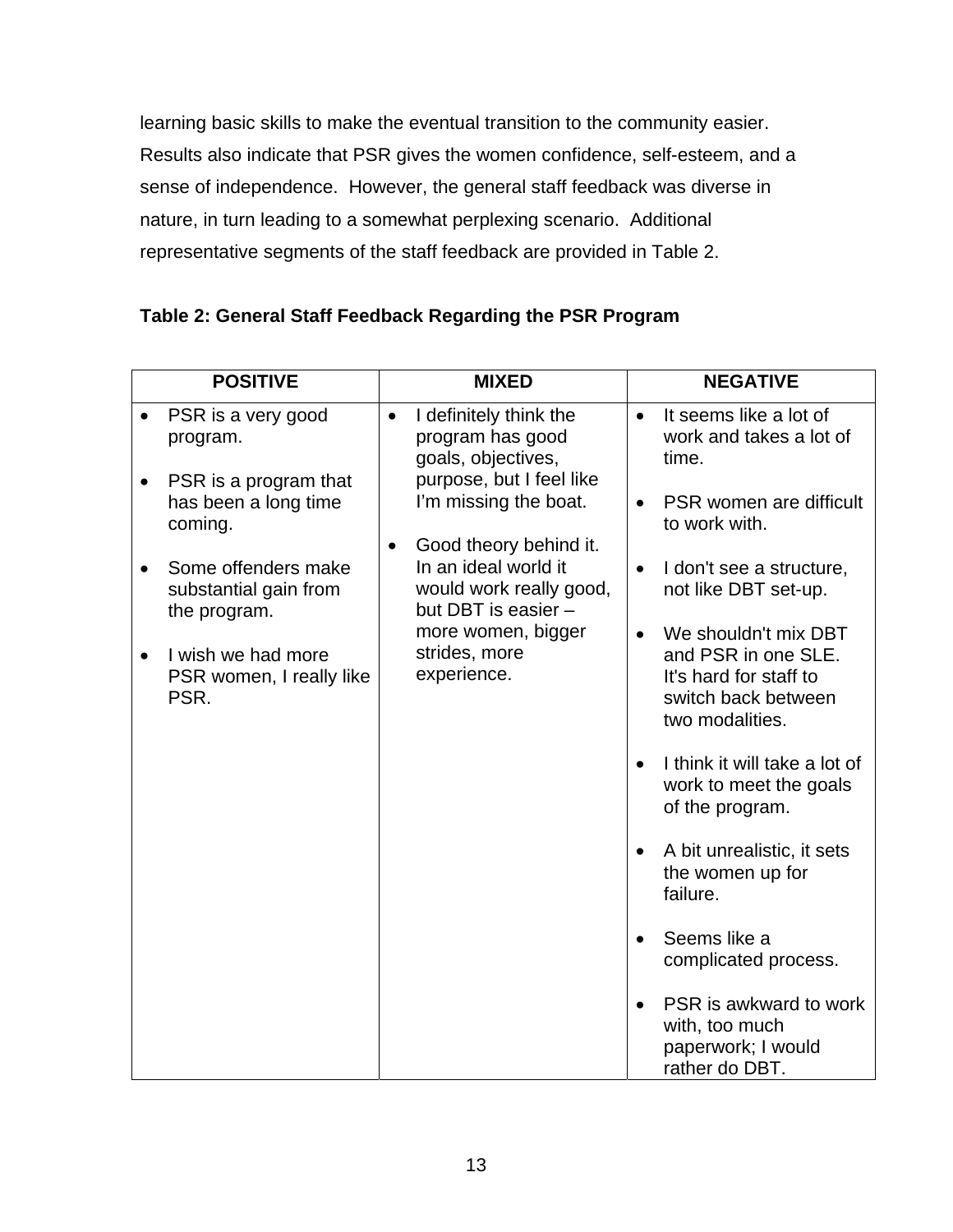<span id="page-19-0"></span>learning basic skills to make the eventual transition to the community easier. Results also indicate that PSR gives the women confidence, self-esteem, and a sense of independence. However, the general staff feedback was diverse in nature, in turn leading to a somewhat perplexing scenario. Additional representative segments of the staff feedback are provided in Table 2.

|           | <b>POSITIVE</b>                                              |           | <b>MIXED</b>                                                                                     |           | <b>NEGATIVE</b>                                                                                                 |
|-----------|--------------------------------------------------------------|-----------|--------------------------------------------------------------------------------------------------|-----------|-----------------------------------------------------------------------------------------------------------------|
|           | PSR is a very good<br>program.                               | $\bullet$ | I definitely think the<br>program has good<br>goals, objectives,                                 | $\bullet$ | It seems like a lot of<br>work and takes a lot of<br>time.                                                      |
|           | PSR is a program that<br>has been a long time<br>coming.     |           | purpose, but I feel like<br>I'm missing the boat.                                                | $\bullet$ | PSR women are difficult<br>to work with.                                                                        |
|           | Some offenders make<br>substantial gain from<br>the program. | $\bullet$ | Good theory behind it.<br>In an ideal world it<br>would work really good,<br>but DBT is easier - | $\bullet$ | I don't see a structure,<br>not like DBT set-up.                                                                |
| $\bullet$ | I wish we had more<br>PSR women, I really like<br>PSR.       |           | more women, bigger<br>strides, more<br>experience.                                               | $\bullet$ | We shouldn't mix DBT<br>and PSR in one SLE.<br>It's hard for staff to<br>switch back between<br>two modalities. |
|           |                                                              |           |                                                                                                  |           | I think it will take a lot of<br>work to meet the goals<br>of the program.                                      |
|           |                                                              |           |                                                                                                  |           | A bit unrealistic, it sets<br>the women up for<br>failure.                                                      |
|           |                                                              |           |                                                                                                  |           | Seems like a<br>complicated process.                                                                            |
|           |                                                              |           |                                                                                                  |           | PSR is awkward to work<br>with, too much<br>paperwork; I would<br>rather do DBT.                                |

# **Table 2: General Staff Feedback Regarding the PSR Program**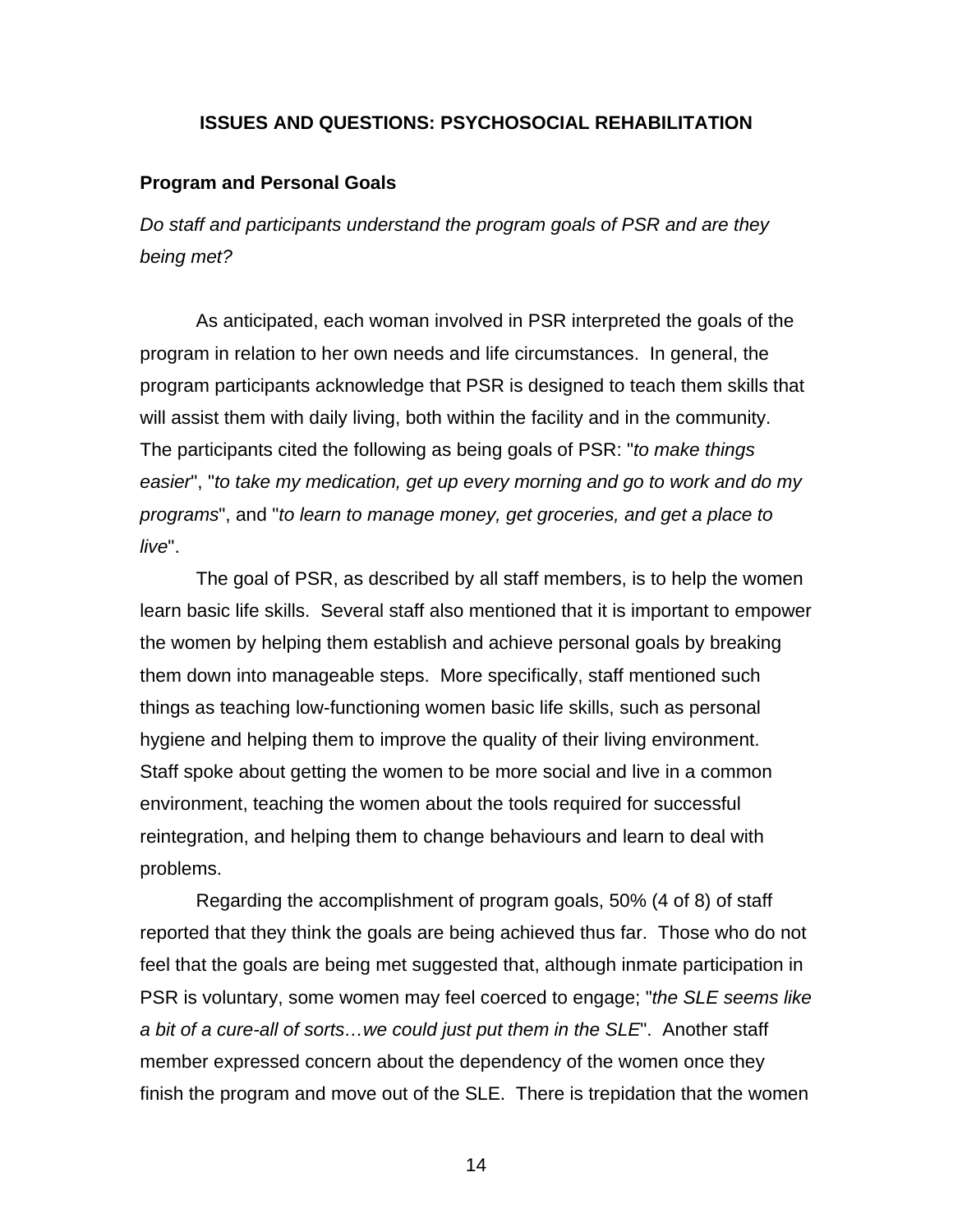### **ISSUES AND QUESTIONS: PSYCHOSOCIAL REHABILITATION**

### <span id="page-20-0"></span>**Program and Personal Goals**

*Do staff and participants understand the program goals of PSR and are they being met?*

As anticipated, each woman involved in PSR interpreted the goals of the program in relation to her own needs and life circumstances. In general, the program participants acknowledge that PSR is designed to teach them skills that will assist them with daily living, both within the facility and in the community. The participants cited the following as being goals of PSR: "*to make things easier*", "*to take my medication, get up every morning and go to work and do my programs*", and "*to learn to manage money, get groceries, and get a place to live*".

The goal of PSR, as described by all staff members, is to help the women learn basic life skills. Several staff also mentioned that it is important to empower the women by helping them establish and achieve personal goals by breaking them down into manageable steps. More specifically, staff mentioned such things as teaching low-functioning women basic life skills, such as personal hygiene and helping them to improve the quality of their living environment. Staff spoke about getting the women to be more social and live in a common environment, teaching the women about the tools required for successful reintegration, and helping them to change behaviours and learn to deal with problems.

Regarding the accomplishment of program goals, 50% (4 of 8) of staff reported that they think the goals are being achieved thus far. Those who do not feel that the goals are being met suggested that, although inmate participation in PSR is voluntary, some women may feel coerced to engage; "*the SLE seems like a bit of a cure-all of sorts…we could just put them in the SLE*". Another staff member expressed concern about the dependency of the women once they finish the program and move out of the SLE. There is trepidation that the women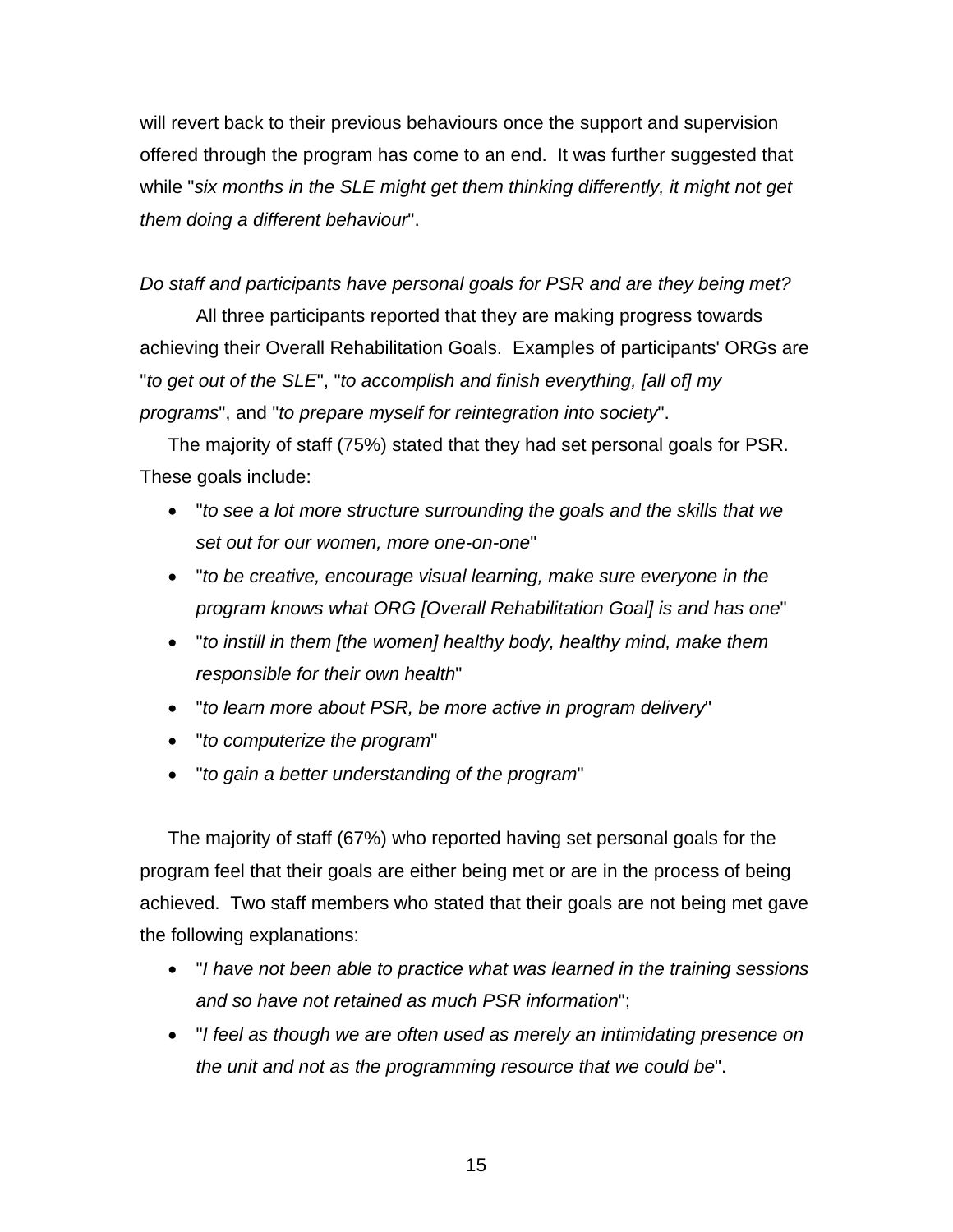will revert back to their previous behaviours once the support and supervision offered through the program has come to an end. It was further suggested that while "*six months in the SLE might get them thinking differently, it might not get them doing a different behaviour*".

## *Do staff and participants have personal goals for PSR and are they being met?*

All three participants reported that they are making progress towards achieving their Overall Rehabilitation Goals. Examples of participants' ORGs are "*to get out of the SLE*", "*to accomplish and finish everything, [all of] my programs*", and "*to prepare myself for reintegration into society*".

The majority of staff (75%) stated that they had set personal goals for PSR. These goals include:

- "*to see a lot more structure surrounding the goals and the skills that we set out for our women, more one-on-one*"
- "*to be creative, encourage visual learning, make sure everyone in the program knows what ORG [Overall Rehabilitation Goal] is and has one*"
- "*to instill in them [the women] healthy body, healthy mind, make them responsible for their own health*"
- "*to learn more about PSR, be more active in program delivery*"
- "*to computerize the program*"
- "*to gain a better understanding of the program*"

The majority of staff (67%) who reported having set personal goals for the program feel that their goals are either being met or are in the process of being achieved. Two staff members who stated that their goals are not being met gave the following explanations:

- "*I have not been able to practice what was learned in the training sessions and so have not retained as much PSR information*";
- "*I feel as though we are often used as merely an intimidating presence on the unit and not as the programming resource that we could be*".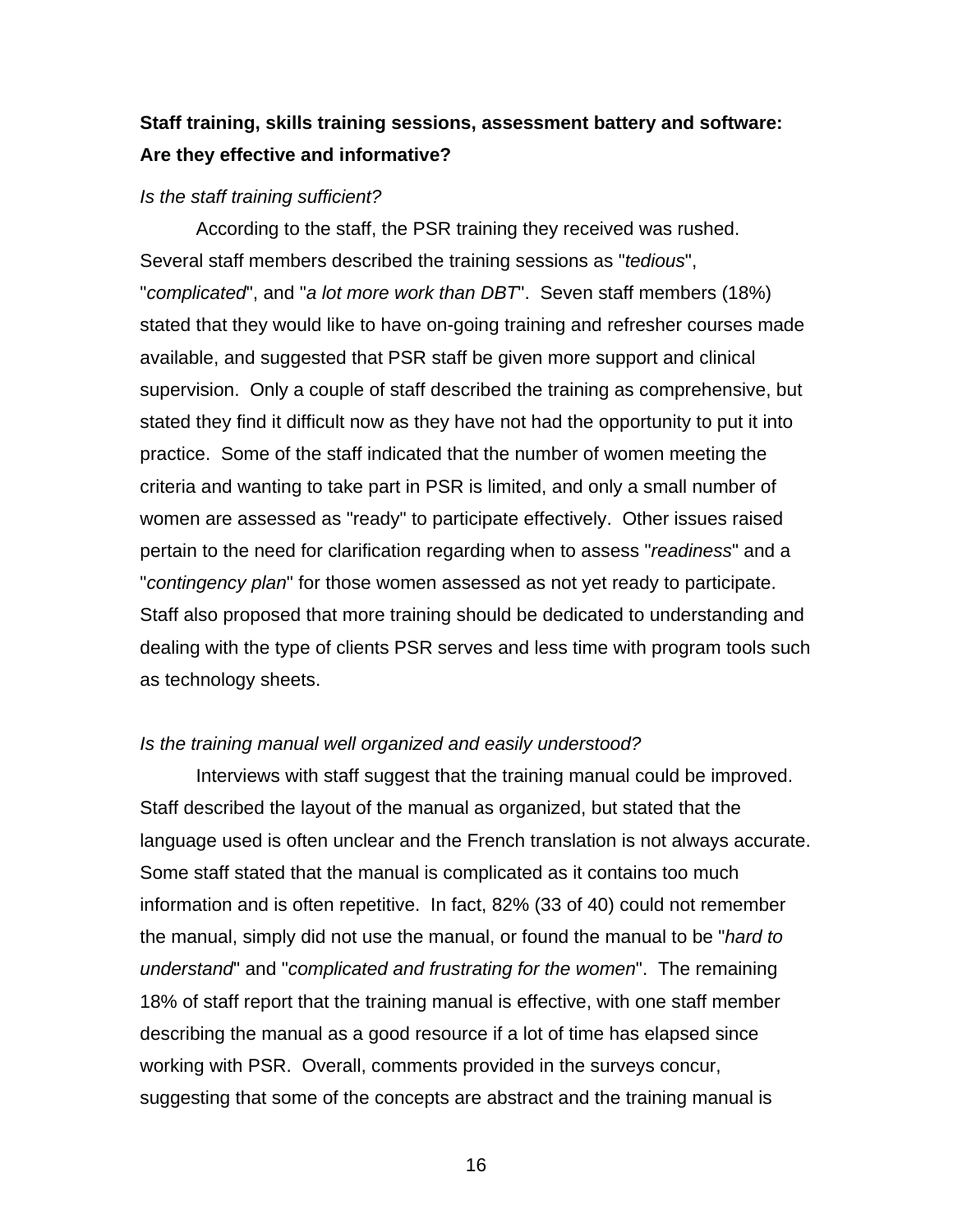# <span id="page-22-0"></span>**Staff training, skills training sessions, assessment battery and software: Are they effective and informative?**

#### *Is the staff training sufficient?*

According to the staff, the PSR training they received was rushed. Several staff members described the training sessions as "*tedious*", "*complicated*", and "*a lot more work than DBT*". Seven staff members (18%) stated that they would like to have on-going training and refresher courses made available, and suggested that PSR staff be given more support and clinical supervision. Only a couple of staff described the training as comprehensive, but stated they find it difficult now as they have not had the opportunity to put it into practice. Some of the staff indicated that the number of women meeting the criteria and wanting to take part in PSR is limited, and only a small number of women are assessed as "ready" to participate effectively. Other issues raised pertain to the need for clarification regarding when to assess "*readiness*" and a "*contingency plan*" for those women assessed as not yet ready to participate. Staff also proposed that more training should be dedicated to understanding and dealing with the type of clients PSR serves and less time with program tools such as technology sheets.

#### *Is the training manual well organized and easily understood?*

Interviews with staff suggest that the training manual could be improved. Staff described the layout of the manual as organized, but stated that the language used is often unclear and the French translation is not always accurate. Some staff stated that the manual is complicated as it contains too much information and is often repetitive. In fact, 82% (33 of 40) could not remember the manual, simply did not use the manual, or found the manual to be "*hard to understand*" and "*complicated and frustrating for the women*". The remaining 18% of staff report that the training manual is effective, with one staff member describing the manual as a good resource if a lot of time has elapsed since working with PSR. Overall, comments provided in the surveys concur, suggesting that some of the concepts are abstract and the training manual is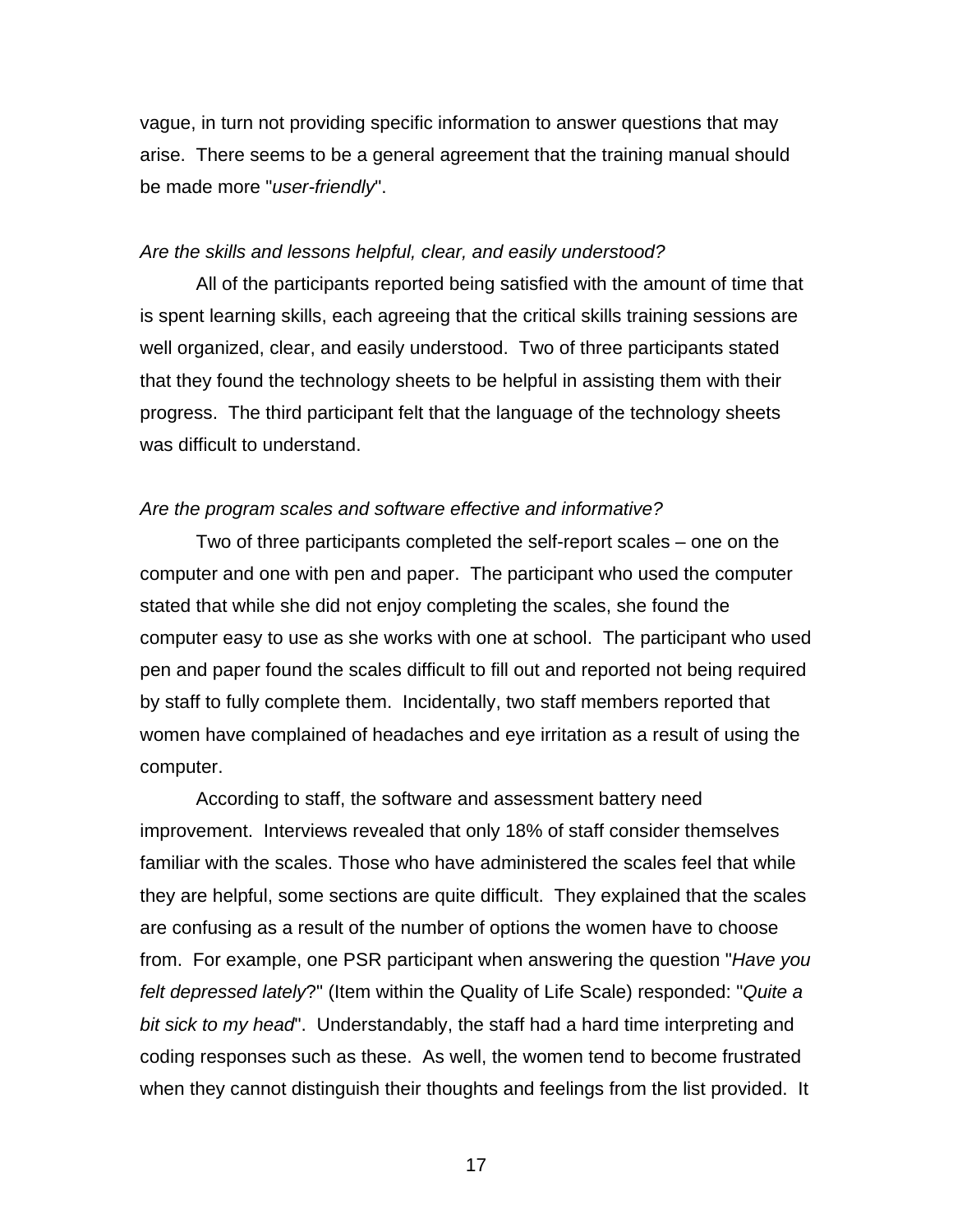vague, in turn not providing specific information to answer questions that may arise. There seems to be a general agreement that the training manual should be made more "*user-friendly*".

#### *Are the skills and lessons helpful, clear, and easily understood?*

All of the participants reported being satisfied with the amount of time that is spent learning skills, each agreeing that the critical skills training sessions are well organized, clear, and easily understood. Two of three participants stated that they found the technology sheets to be helpful in assisting them with their progress. The third participant felt that the language of the technology sheets was difficult to understand.

#### *Are the program scales and software effective and informative?*

Two of three participants completed the self-report scales – one on the computer and one with pen and paper. The participant who used the computer stated that while she did not enjoy completing the scales, she found the computer easy to use as she works with one at school. The participant who used pen and paper found the scales difficult to fill out and reported not being required by staff to fully complete them. Incidentally, two staff members reported that women have complained of headaches and eye irritation as a result of using the computer.

According to staff, the software and assessment battery need improvement. Interviews revealed that only 18% of staff consider themselves familiar with the scales. Those who have administered the scales feel that while they are helpful, some sections are quite difficult. They explained that the scales are confusing as a result of the number of options the women have to choose from. For example, one PSR participant when answering the question "*Have you felt depressed lately*?" (Item within the Quality of Life Scale) responded: "*Quite a bit sick to my head*". Understandably, the staff had a hard time interpreting and coding responses such as these. As well, the women tend to become frustrated when they cannot distinguish their thoughts and feelings from the list provided. It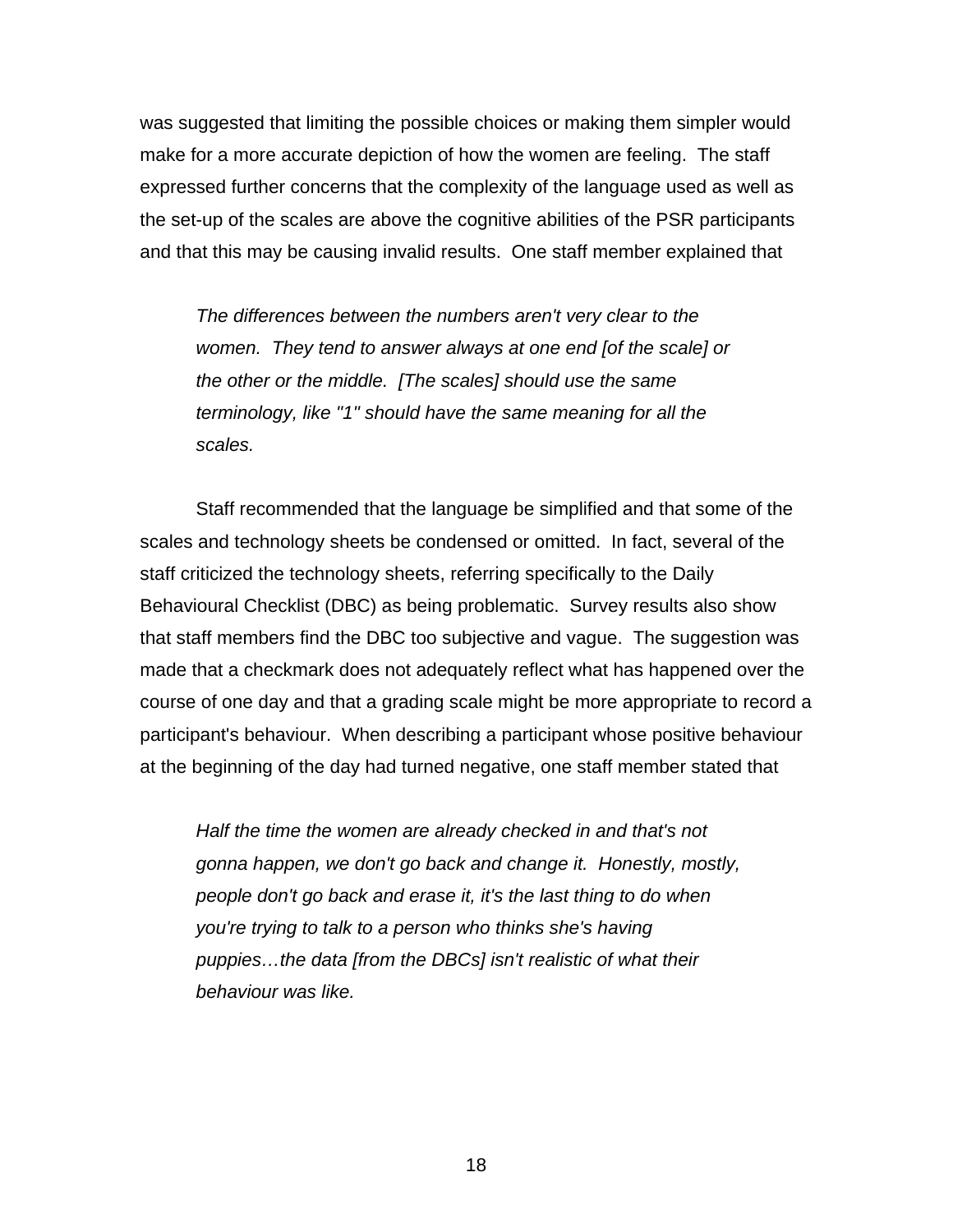was suggested that limiting the possible choices or making them simpler would make for a more accurate depiction of how the women are feeling. The staff expressed further concerns that the complexity of the language used as well as the set-up of the scales are above the cognitive abilities of the PSR participants and that this may be causing invalid results. One staff member explained that

*The differences between the numbers aren't very clear to the women. They tend to answer always at one end [of the scale] or the other or the middle. [The scales] should use the same terminology, like "1" should have the same meaning for all the scales.* 

Staff recommended that the language be simplified and that some of the scales and technology sheets be condensed or omitted. In fact, several of the staff criticized the technology sheets, referring specifically to the Daily Behavioural Checklist (DBC) as being problematic. Survey results also show that staff members find the DBC too subjective and vague. The suggestion was made that a checkmark does not adequately reflect what has happened over the course of one day and that a grading scale might be more appropriate to record a participant's behaviour. When describing a participant whose positive behaviour at the beginning of the day had turned negative, one staff member stated that

*Half the time the women are already checked in and that's not gonna happen, we don't go back and change it. Honestly, mostly, people don't go back and erase it, it's the last thing to do when you're trying to talk to a person who thinks she's having puppies…the data [from the DBCs] isn't realistic of what their behaviour was like.*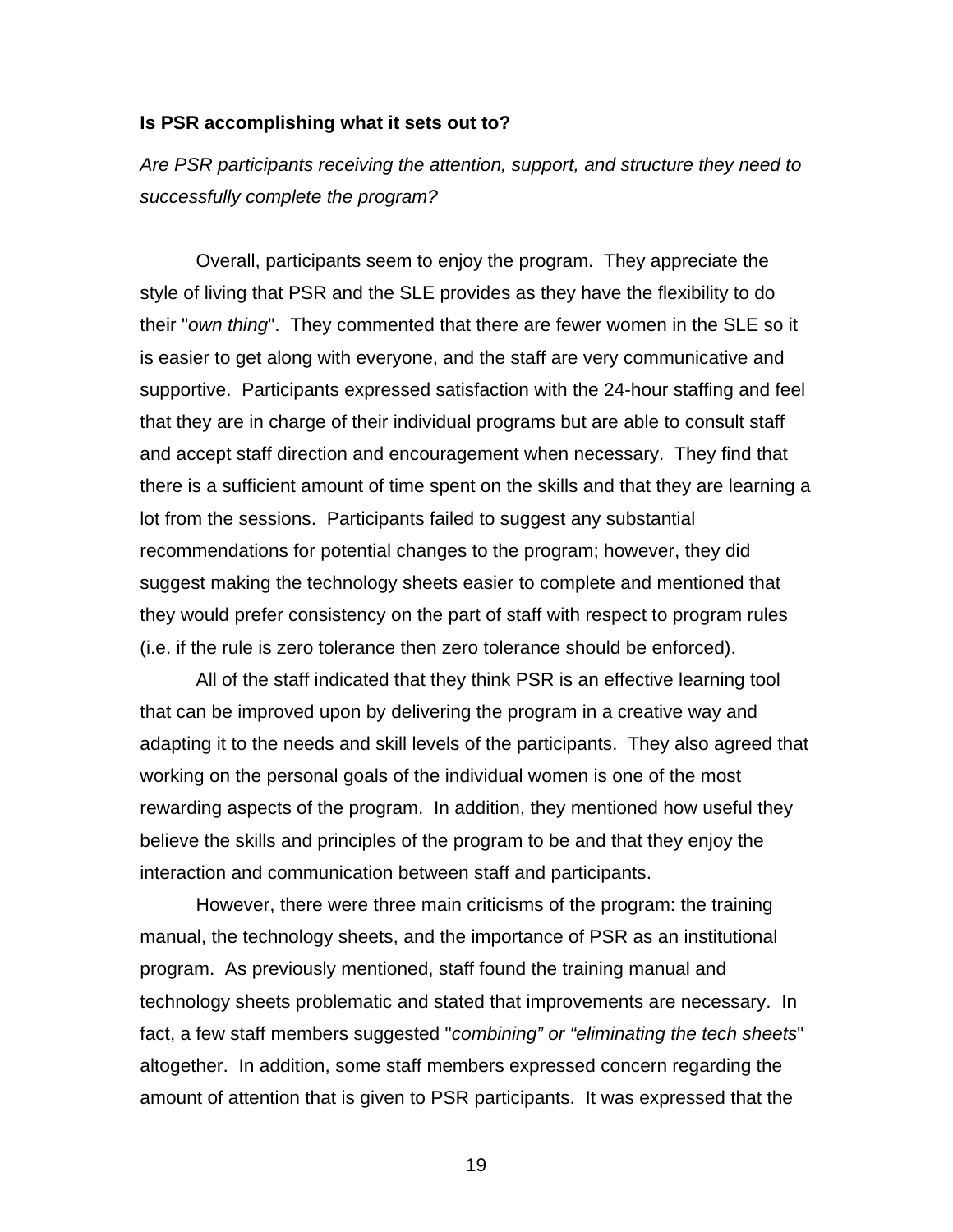#### <span id="page-25-0"></span>**Is PSR accomplishing what it sets out to?**

*Are PSR participants receiving the attention, support, and structure they need to successfully complete the program?* 

Overall, participants seem to enjoy the program. They appreciate the style of living that PSR and the SLE provides as they have the flexibility to do their "*own thing*". They commented that there are fewer women in the SLE so it is easier to get along with everyone, and the staff are very communicative and supportive. Participants expressed satisfaction with the 24-hour staffing and feel that they are in charge of their individual programs but are able to consult staff and accept staff direction and encouragement when necessary. They find that there is a sufficient amount of time spent on the skills and that they are learning a lot from the sessions. Participants failed to suggest any substantial recommendations for potential changes to the program; however, they did suggest making the technology sheets easier to complete and mentioned that they would prefer consistency on the part of staff with respect to program rules (i.e. if the rule is zero tolerance then zero tolerance should be enforced).

All of the staff indicated that they think PSR is an effective learning tool that can be improved upon by delivering the program in a creative way and adapting it to the needs and skill levels of the participants. They also agreed that working on the personal goals of the individual women is one of the most rewarding aspects of the program. In addition, they mentioned how useful they believe the skills and principles of the program to be and that they enjoy the interaction and communication between staff and participants.

However, there were three main criticisms of the program: the training manual, the technology sheets, and the importance of PSR as an institutional program. As previously mentioned, staff found the training manual and technology sheets problematic and stated that improvements are necessary. In fact, a few staff members suggested "*combining" or "eliminating the tech sheets*" altogether. In addition, some staff members expressed concern regarding the amount of attention that is given to PSR participants. It was expressed that the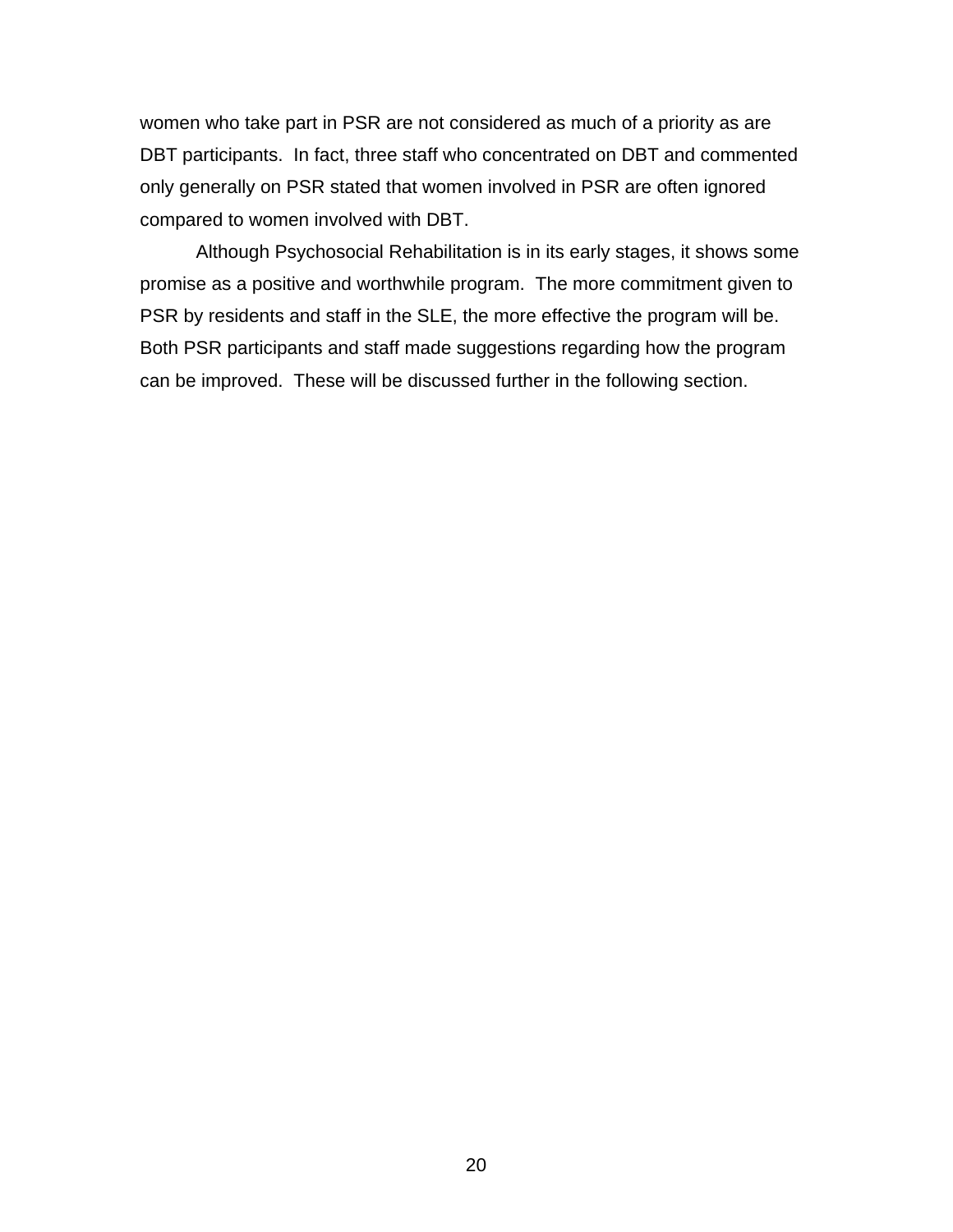women who take part in PSR are not considered as much of a priority as are DBT participants. In fact, three staff who concentrated on DBT and commented only generally on PSR stated that women involved in PSR are often ignored compared to women involved with DBT.

Although Psychosocial Rehabilitation is in its early stages, it shows some promise as a positive and worthwhile program. The more commitment given to PSR by residents and staff in the SLE, the more effective the program will be. Both PSR participants and staff made suggestions regarding how the program can be improved. These will be discussed further in the following section.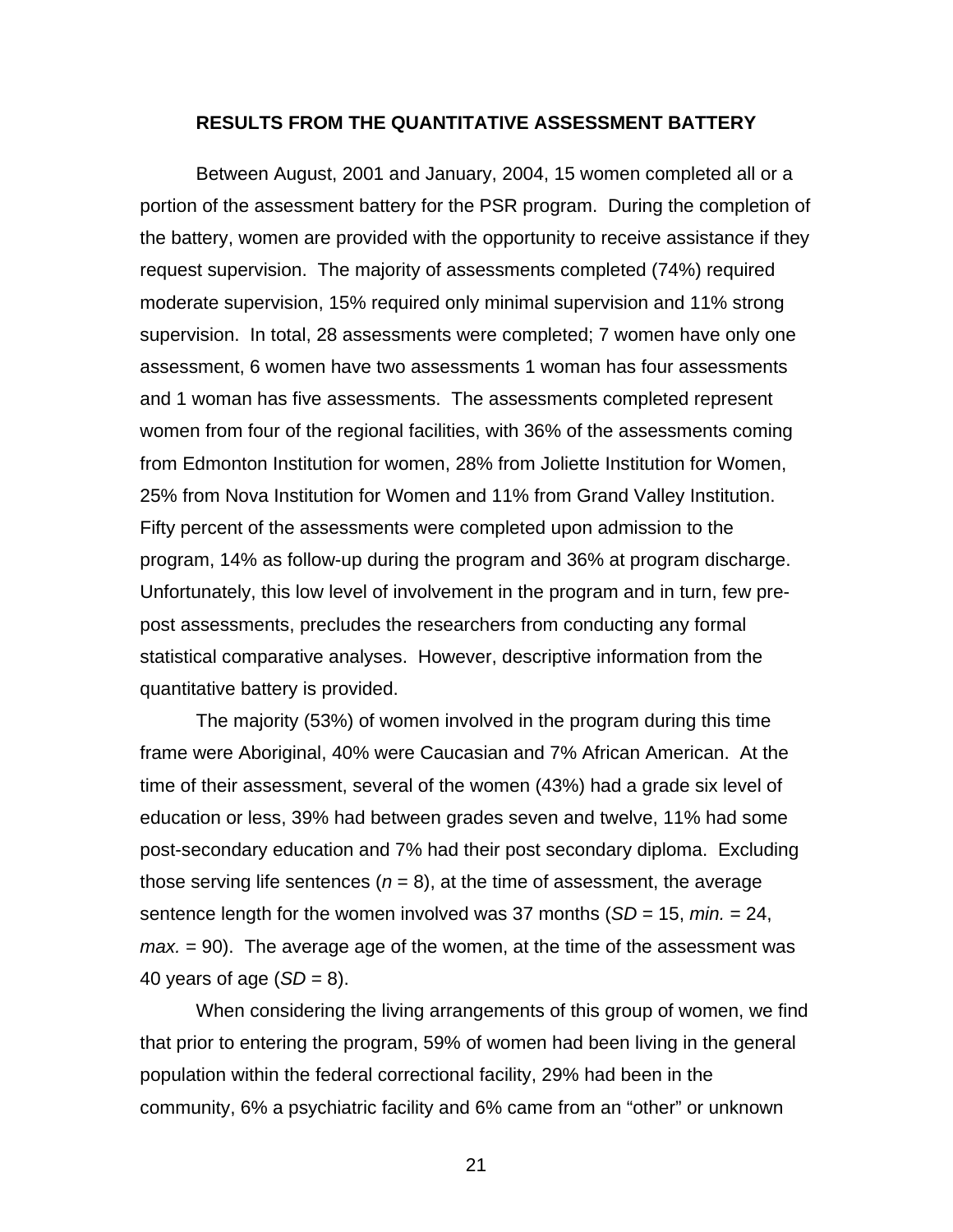#### **RESULTS FROM THE QUANTITATIVE ASSESSMENT BATTERY**

<span id="page-27-0"></span> Between August, 2001 and January, 2004, 15 women completed all or a portion of the assessment battery for the PSR program. During the completion of the battery, women are provided with the opportunity to receive assistance if they request supervision. The majority of assessments completed (74%) required moderate supervision, 15% required only minimal supervision and 11% strong supervision. In total, 28 assessments were completed; 7 women have only one assessment, 6 women have two assessments 1 woman has four assessments and 1 woman has five assessments. The assessments completed represent women from four of the regional facilities, with 36% of the assessments coming from Edmonton Institution for women, 28% from Joliette Institution for Women, 25% from Nova Institution for Women and 11% from Grand Valley Institution. Fifty percent of the assessments were completed upon admission to the program, 14% as follow-up during the program and 36% at program discharge. Unfortunately, this low level of involvement in the program and in turn, few prepost assessments, precludes the researchers from conducting any formal statistical comparative analyses. However, descriptive information from the quantitative battery is provided.

The majority (53%) of women involved in the program during this time frame were Aboriginal, 40% were Caucasian and 7% African American. At the time of their assessment, several of the women (43%) had a grade six level of education or less, 39% had between grades seven and twelve, 11% had some post-secondary education and 7% had their post secondary diploma. Excluding those serving life sentences  $(n = 8)$ , at the time of assessment, the average sentence length for the women involved was 37 months (*SD* = 15, *min.* = 24, *max.* = 90). The average age of the women, at the time of the assessment was 40 years of age  $(SD = 8)$ .

When considering the living arrangements of this group of women, we find that prior to entering the program, 59% of women had been living in the general population within the federal correctional facility, 29% had been in the community, 6% a psychiatric facility and 6% came from an "other" or unknown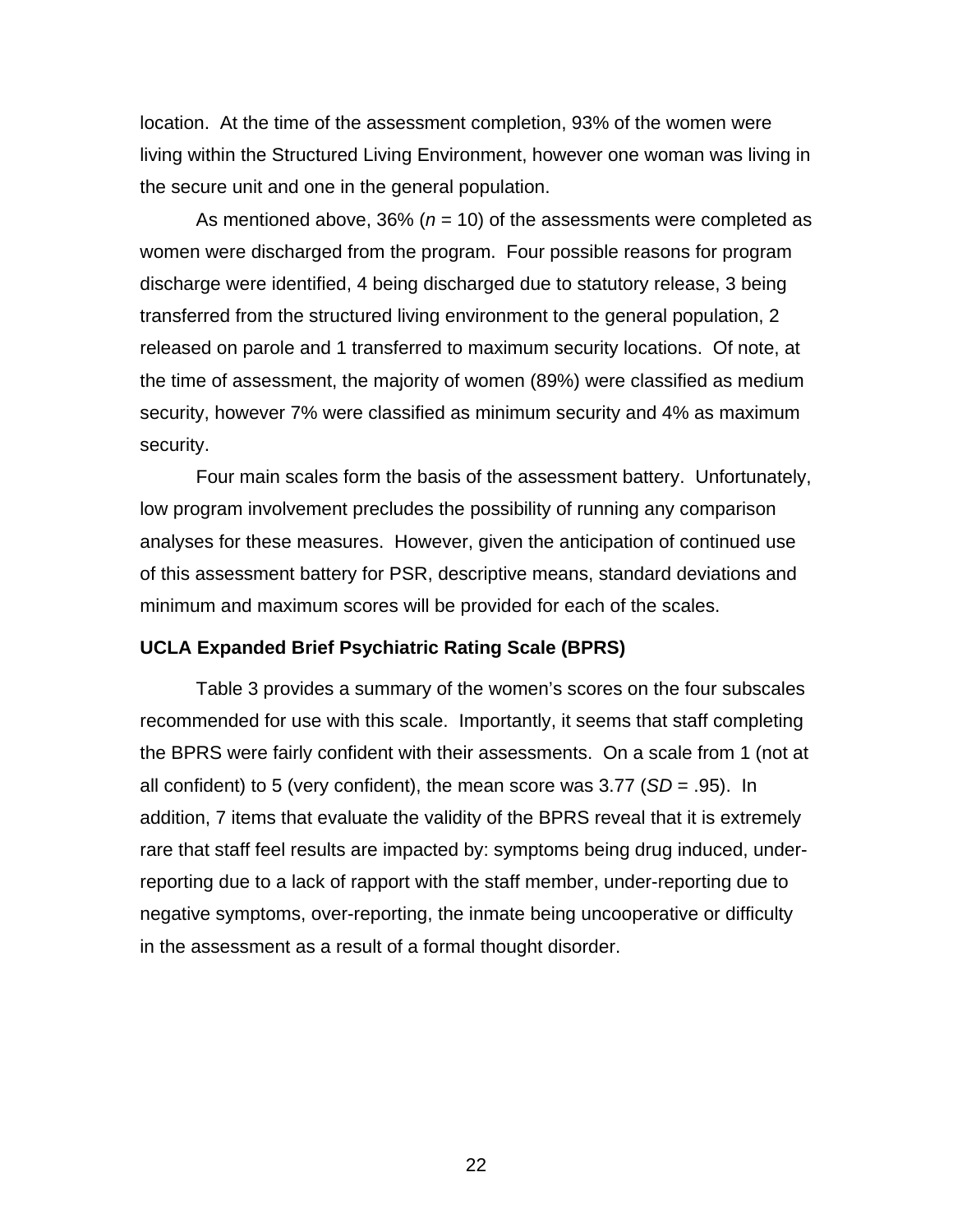<span id="page-28-0"></span>location. At the time of the assessment completion, 93% of the women were living within the Structured Living Environment, however one woman was living in the secure unit and one in the general population.

As mentioned above, 36% (*n* = 10) of the assessments were completed as women were discharged from the program. Four possible reasons for program discharge were identified, 4 being discharged due to statutory release, 3 being transferred from the structured living environment to the general population, 2 released on parole and 1 transferred to maximum security locations. Of note, at the time of assessment, the majority of women (89%) were classified as medium security, however 7% were classified as minimum security and 4% as maximum security.

Four main scales form the basis of the assessment battery. Unfortunately, low program involvement precludes the possibility of running any comparison analyses for these measures. However, given the anticipation of continued use of this assessment battery for PSR, descriptive means, standard deviations and minimum and maximum scores will be provided for each of the scales.

#### **UCLA Expanded Brief Psychiatric Rating Scale (BPRS)**

Table 3 provides a summary of the women's scores on the four subscales recommended for use with this scale. Importantly, it seems that staff completing the BPRS were fairly confident with their assessments. On a scale from 1 (not at all confident) to 5 (very confident), the mean score was 3.77 (*SD* = .95). In addition, 7 items that evaluate the validity of the BPRS reveal that it is extremely rare that staff feel results are impacted by: symptoms being drug induced, underreporting due to a lack of rapport with the staff member, under-reporting due to negative symptoms, over-reporting, the inmate being uncooperative or difficulty in the assessment as a result of a formal thought disorder.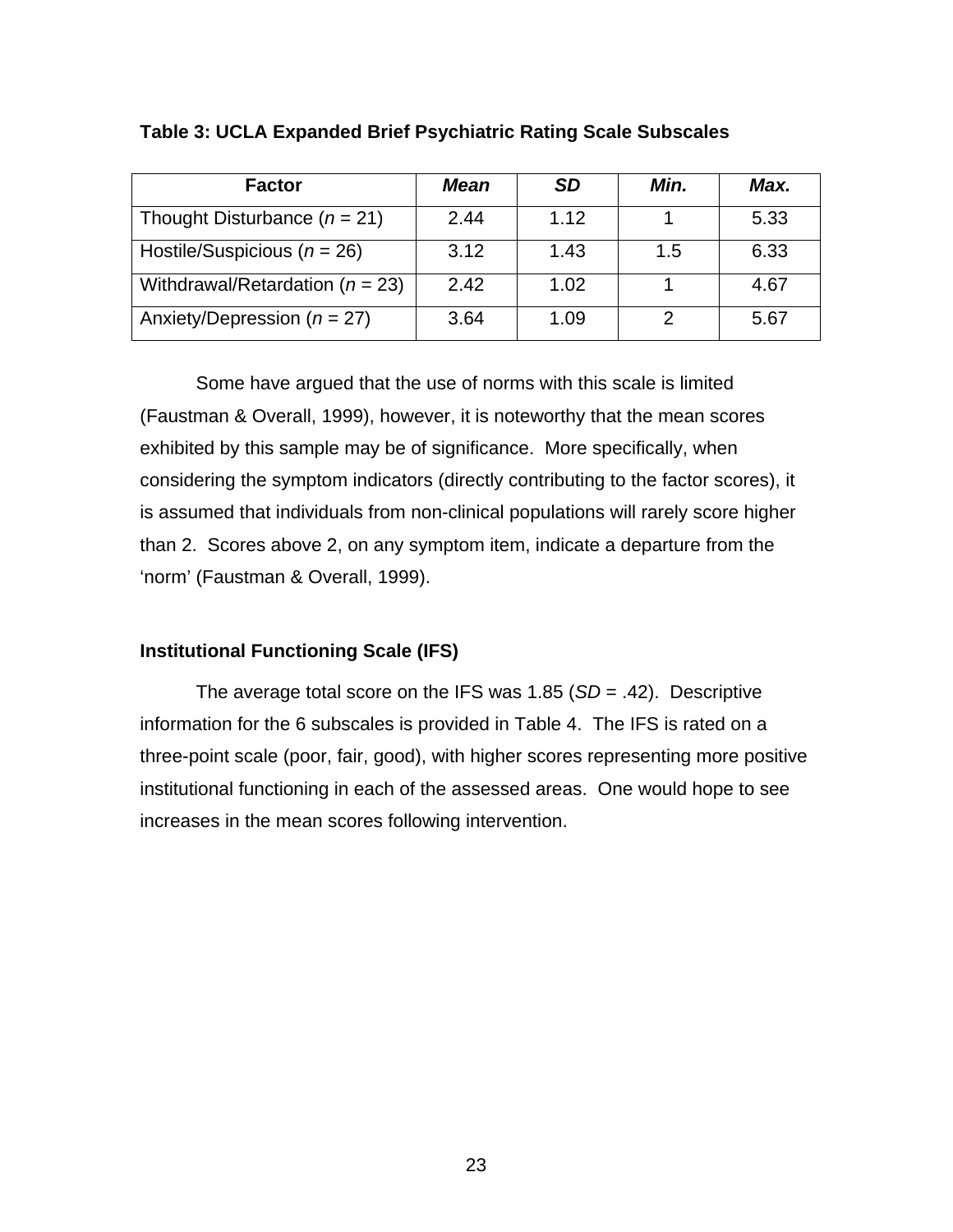| <b>Factor</b>                       | <b>Mean</b> | <b>SD</b> | Min. | Max. |
|-------------------------------------|-------------|-----------|------|------|
| Thought Disturbance ( $n = 21$ )    | 2.44        | 1.12      |      | 5.33 |
| Hostile/Suspicious ( $n = 26$ )     | 3.12        | 1.43      | 1.5  | 6.33 |
| Withdrawal/Retardation ( $n = 23$ ) | 2.42        | 1.02      |      | 4.67 |
| Anxiety/Depression ( $n = 27$ )     | 3.64        | 1.09      | 2    | 5.67 |

## <span id="page-29-0"></span>**Table 3: UCLA Expanded Brief Psychiatric Rating Scale Subscales**

Some have argued that the use of norms with this scale is limited (Faustman & Overall, 1999), however, it is noteworthy that the mean scores exhibited by this sample may be of significance. More specifically, when considering the symptom indicators (directly contributing to the factor scores), it is assumed that individuals from non-clinical populations will rarely score higher than 2. Scores above 2, on any symptom item, indicate a departure from the 'norm' (Faustman & Overall, 1999).

# **Institutional Functioning Scale (IFS)**

The average total score on the IFS was 1.85 (*SD* = .42). Descriptive information for the 6 subscales is provided in Table 4. The IFS is rated on a three-point scale (poor, fair, good), with higher scores representing more positive institutional functioning in each of the assessed areas. One would hope to see increases in the mean scores following intervention.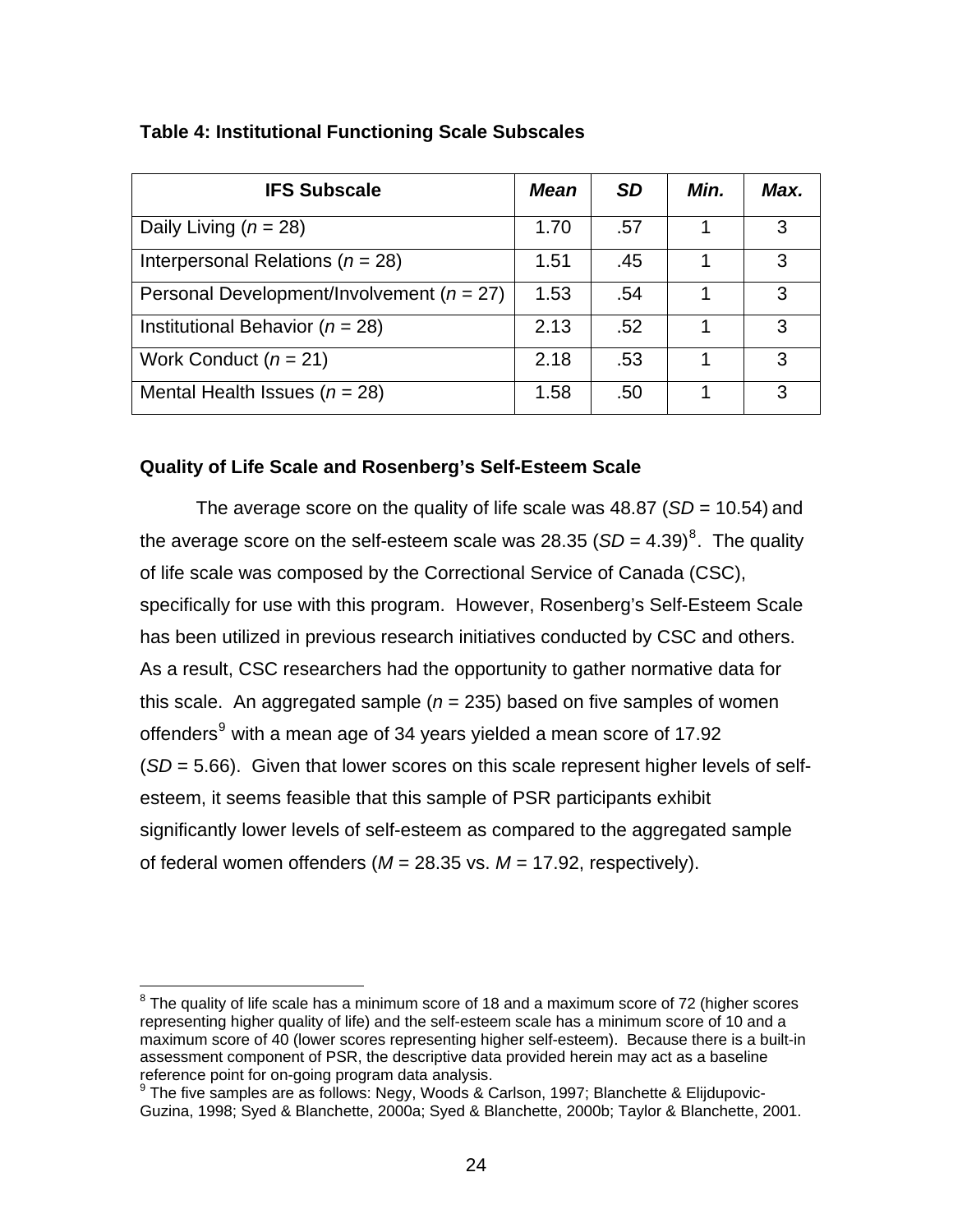| <b>IFS Subscale</b>                           | <b>Mean</b> | <b>SD</b> | Min. | Max. |
|-----------------------------------------------|-------------|-----------|------|------|
| Daily Living ( $n = 28$ )                     | 1.70        | .57       |      | 3    |
| Interpersonal Relations ( $n = 28$ )          | 1.51        | .45       |      | 3    |
| Personal Development/Involvement ( $n = 27$ ) | 1.53        | .54       |      | 3    |
| Institutional Behavior ( $n = 28$ )           | 2.13        | .52       |      | 3    |
| Work Conduct $(n = 21)$                       | 2.18        | .53       |      | З    |
| Mental Health Issues ( $n = 28$ )             | 1.58        | .50       |      | 3    |

## <span id="page-30-0"></span>**Table 4: Institutional Functioning Scale Subscales**

## **Quality of Life Scale and Rosenberg's Self-Esteem Scale**

The average score on the quality of life scale was 48.87 (*SD* = 10.54) and the average score on the self-esteem scale was 2[8](#page-30-1).35 ( $SD = 4.39$ )<sup>8</sup>. The quality of life scale was composed by the Correctional Service of Canada (CSC), specifically for use with this program. However, Rosenberg's Self-Esteem Scale has been utilized in previous research initiatives conducted by CSC and others. As a result, CSC researchers had the opportunity to gather normative data for this scale. An aggregated sample  $(n = 235)$  based on five samples of women offenders<sup>[9](#page-30-2)</sup> with a mean age of 34 years yielded a mean score of 17.92 (*SD* = 5.66). Given that lower scores on this scale represent higher levels of selfesteem, it seems feasible that this sample of PSR participants exhibit significantly lower levels of self-esteem as compared to the aggregated sample of federal women offenders (*M* = 28.35 vs. *M* = 17.92, respectively).

<span id="page-30-1"></span>entity of the scale has a minimum score of 18 and a maximum score of 72 (higher scores of 72 (higher scores representing higher quality of life) and the self-esteem scale has a minimum score of 10 and a maximum score of 40 (lower scores representing higher self-esteem). Because there is a built-in assessment component of PSR, the descriptive data provided herein may act as a baseline reference point for on-going program data analysis.

<span id="page-30-2"></span><sup>&</sup>lt;sup>9</sup> The five samples are as follows: Negy, Woods & Carlson, 1997; Blanchette & Elijdupovic-Guzina, 1998; Syed & Blanchette, 2000a; Syed & Blanchette, 2000b; Taylor & Blanchette, 2001.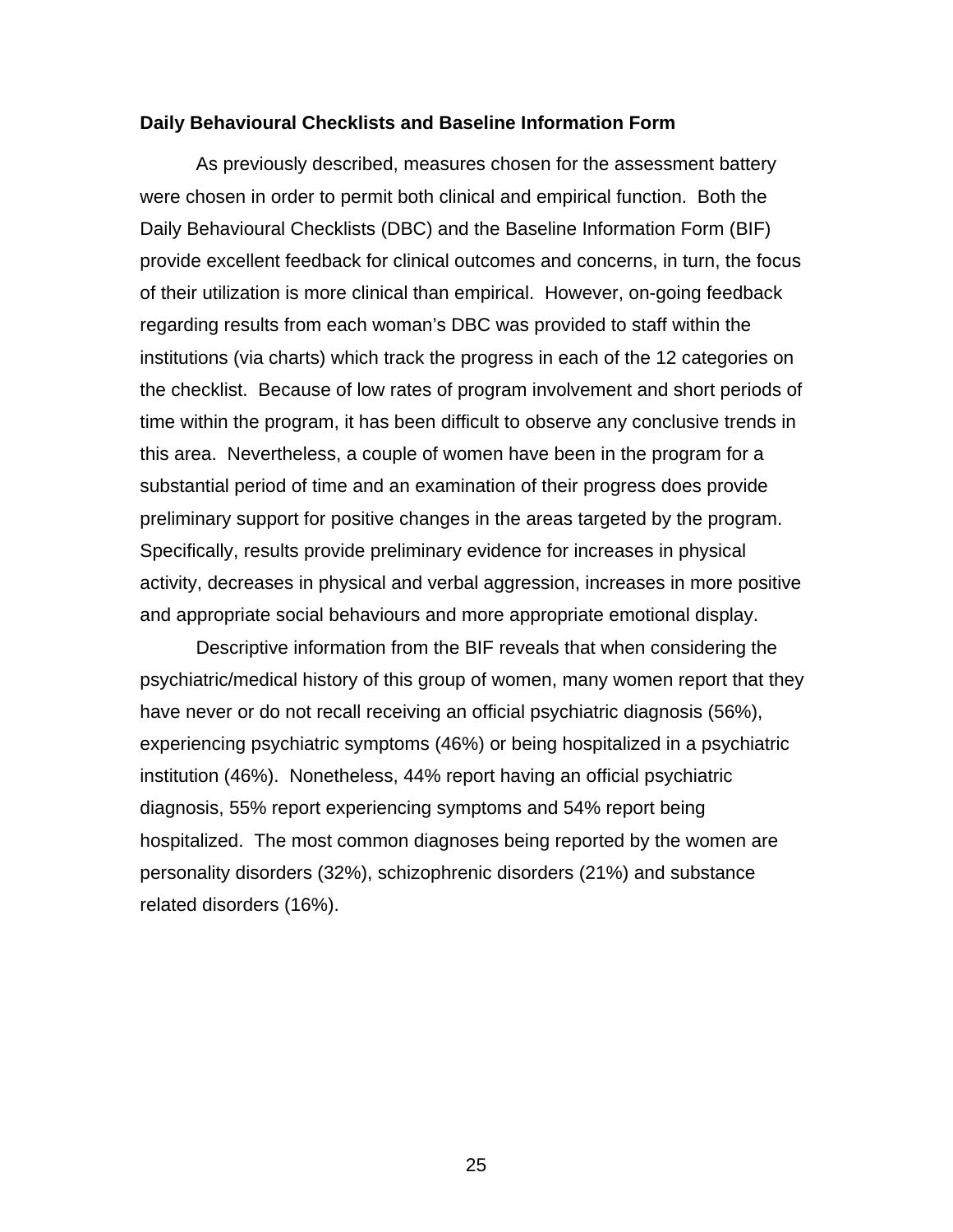#### <span id="page-31-0"></span>**Daily Behavioural Checklists and Baseline Information Form**

As previously described, measures chosen for the assessment battery were chosen in order to permit both clinical and empirical function. Both the Daily Behavioural Checklists (DBC) and the Baseline Information Form (BIF) provide excellent feedback for clinical outcomes and concerns, in turn, the focus of their utilization is more clinical than empirical. However, on-going feedback regarding results from each woman's DBC was provided to staff within the institutions (via charts) which track the progress in each of the 12 categories on the checklist. Because of low rates of program involvement and short periods of time within the program, it has been difficult to observe any conclusive trends in this area. Nevertheless, a couple of women have been in the program for a substantial period of time and an examination of their progress does provide preliminary support for positive changes in the areas targeted by the program. Specifically, results provide preliminary evidence for increases in physical activity, decreases in physical and verbal aggression, increases in more positive and appropriate social behaviours and more appropriate emotional display.

Descriptive information from the BIF reveals that when considering the psychiatric/medical history of this group of women, many women report that they have never or do not recall receiving an official psychiatric diagnosis (56%), experiencing psychiatric symptoms (46%) or being hospitalized in a psychiatric institution (46%). Nonetheless, 44% report having an official psychiatric diagnosis, 55% report experiencing symptoms and 54% report being hospitalized. The most common diagnoses being reported by the women are personality disorders (32%), schizophrenic disorders (21%) and substance related disorders (16%).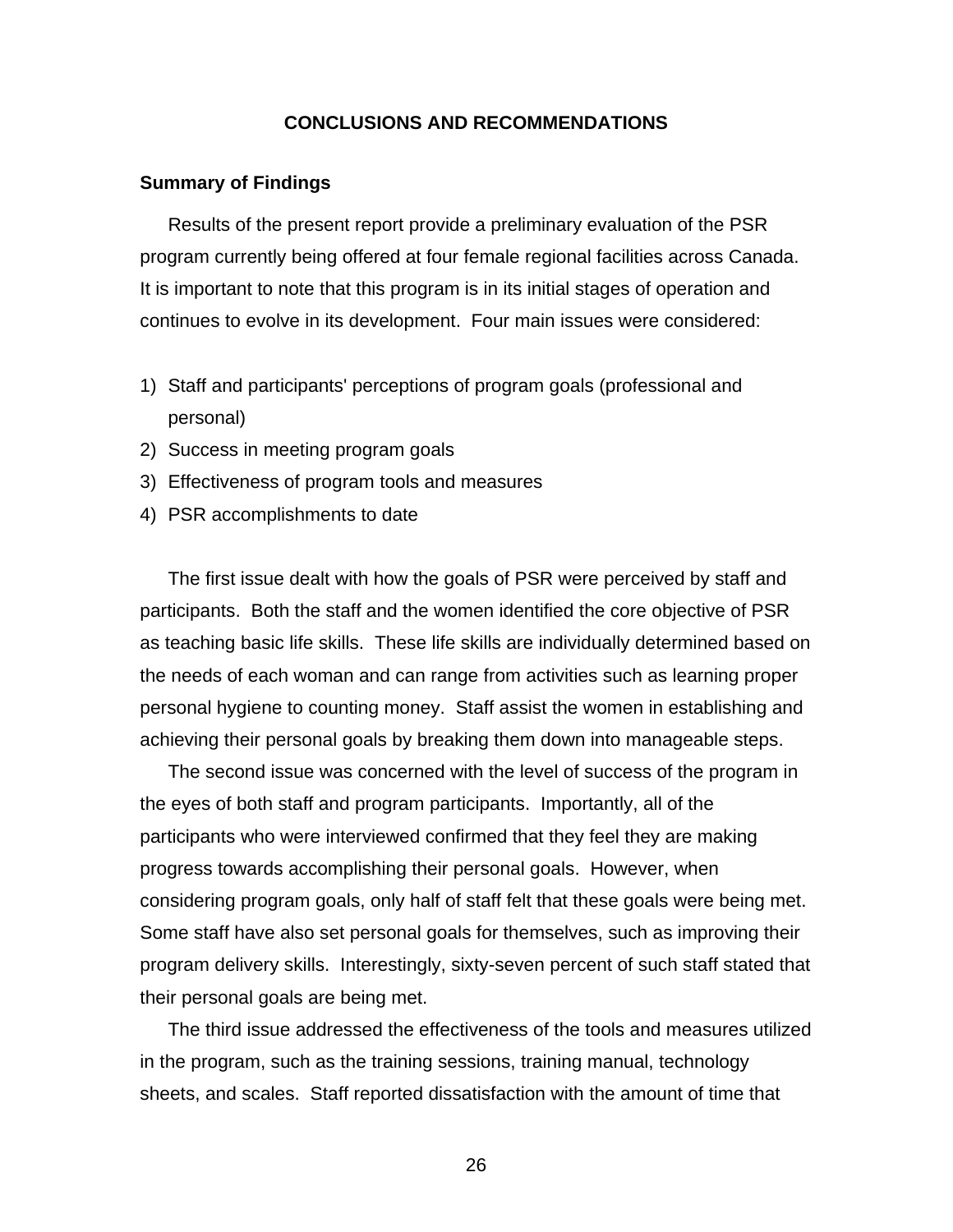### **CONCLUSIONS AND RECOMMENDATIONS**

#### <span id="page-32-0"></span>**Summary of Findings**

Results of the present report provide a preliminary evaluation of the PSR program currently being offered at four female regional facilities across Canada. It is important to note that this program is in its initial stages of operation and continues to evolve in its development. Four main issues were considered:

- 1) Staff and participants' perceptions of program goals (professional and personal)
- 2) Success in meeting program goals
- 3) Effectiveness of program tools and measures
- 4) PSR accomplishments to date

The first issue dealt with how the goals of PSR were perceived by staff and participants. Both the staff and the women identified the core objective of PSR as teaching basic life skills. These life skills are individually determined based on the needs of each woman and can range from activities such as learning proper personal hygiene to counting money. Staff assist the women in establishing and achieving their personal goals by breaking them down into manageable steps.

The second issue was concerned with the level of success of the program in the eyes of both staff and program participants. Importantly, all of the participants who were interviewed confirmed that they feel they are making progress towards accomplishing their personal goals. However, when considering program goals, only half of staff felt that these goals were being met. Some staff have also set personal goals for themselves, such as improving their program delivery skills. Interestingly, sixty-seven percent of such staff stated that their personal goals are being met.

The third issue addressed the effectiveness of the tools and measures utilized in the program, such as the training sessions, training manual, technology sheets, and scales. Staff reported dissatisfaction with the amount of time that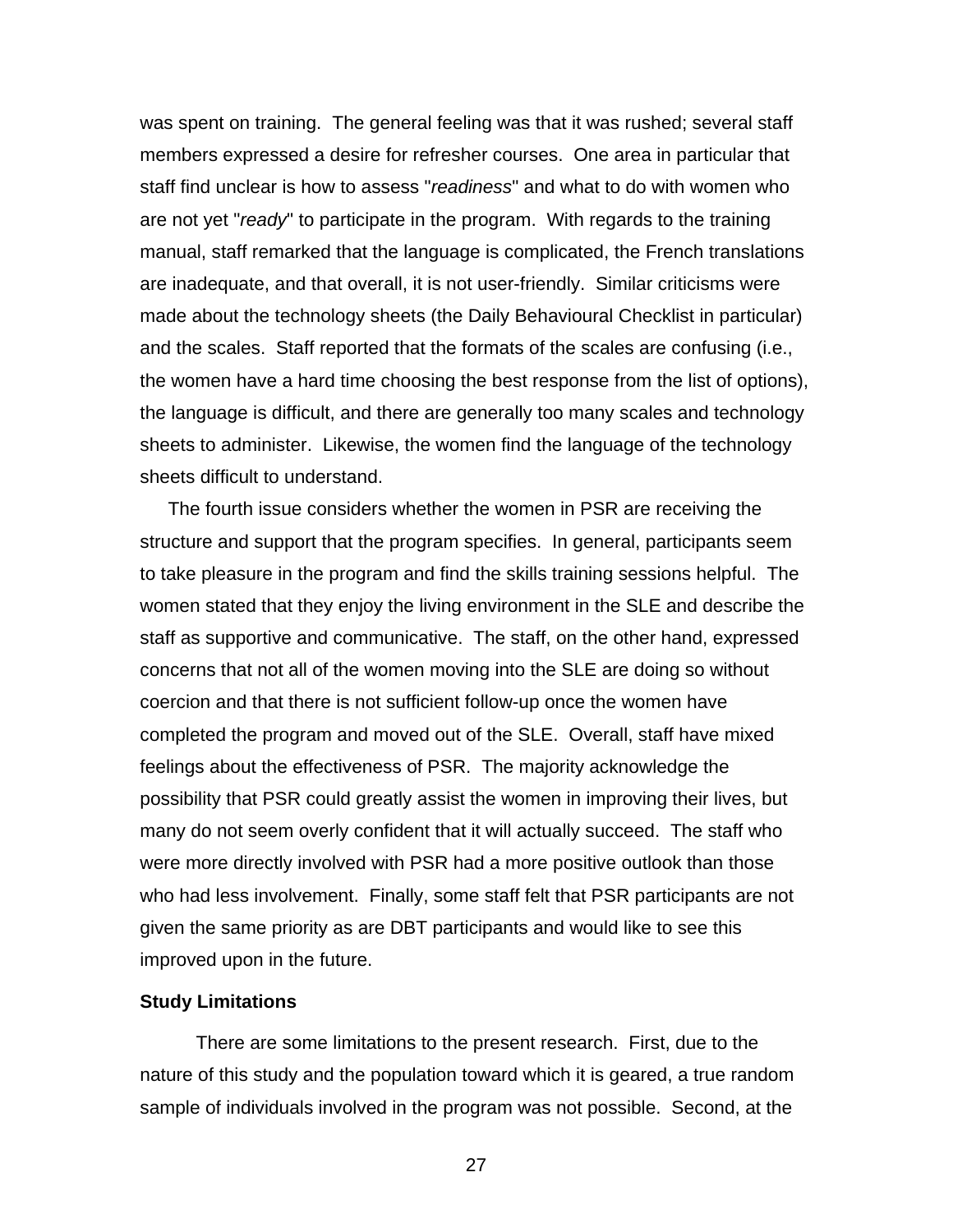<span id="page-33-0"></span>was spent on training. The general feeling was that it was rushed; several staff members expressed a desire for refresher courses. One area in particular that staff find unclear is how to assess "*readiness*" and what to do with women who are not yet "*ready*" to participate in the program. With regards to the training manual, staff remarked that the language is complicated, the French translations are inadequate, and that overall, it is not user-friendly. Similar criticisms were made about the technology sheets (the Daily Behavioural Checklist in particular) and the scales. Staff reported that the formats of the scales are confusing (i.e., the women have a hard time choosing the best response from the list of options), the language is difficult, and there are generally too many scales and technology sheets to administer. Likewise, the women find the language of the technology sheets difficult to understand.

The fourth issue considers whether the women in PSR are receiving the structure and support that the program specifies. In general, participants seem to take pleasure in the program and find the skills training sessions helpful. The women stated that they enjoy the living environment in the SLE and describe the staff as supportive and communicative. The staff, on the other hand, expressed concerns that not all of the women moving into the SLE are doing so without coercion and that there is not sufficient follow-up once the women have completed the program and moved out of the SLE. Overall, staff have mixed feelings about the effectiveness of PSR. The majority acknowledge the possibility that PSR could greatly assist the women in improving their lives, but many do not seem overly confident that it will actually succeed. The staff who were more directly involved with PSR had a more positive outlook than those who had less involvement. Finally, some staff felt that PSR participants are not given the same priority as are DBT participants and would like to see this improved upon in the future.

### **Study Limitations**

There are some limitations to the present research. First, due to the nature of this study and the population toward which it is geared, a true random sample of individuals involved in the program was not possible. Second, at the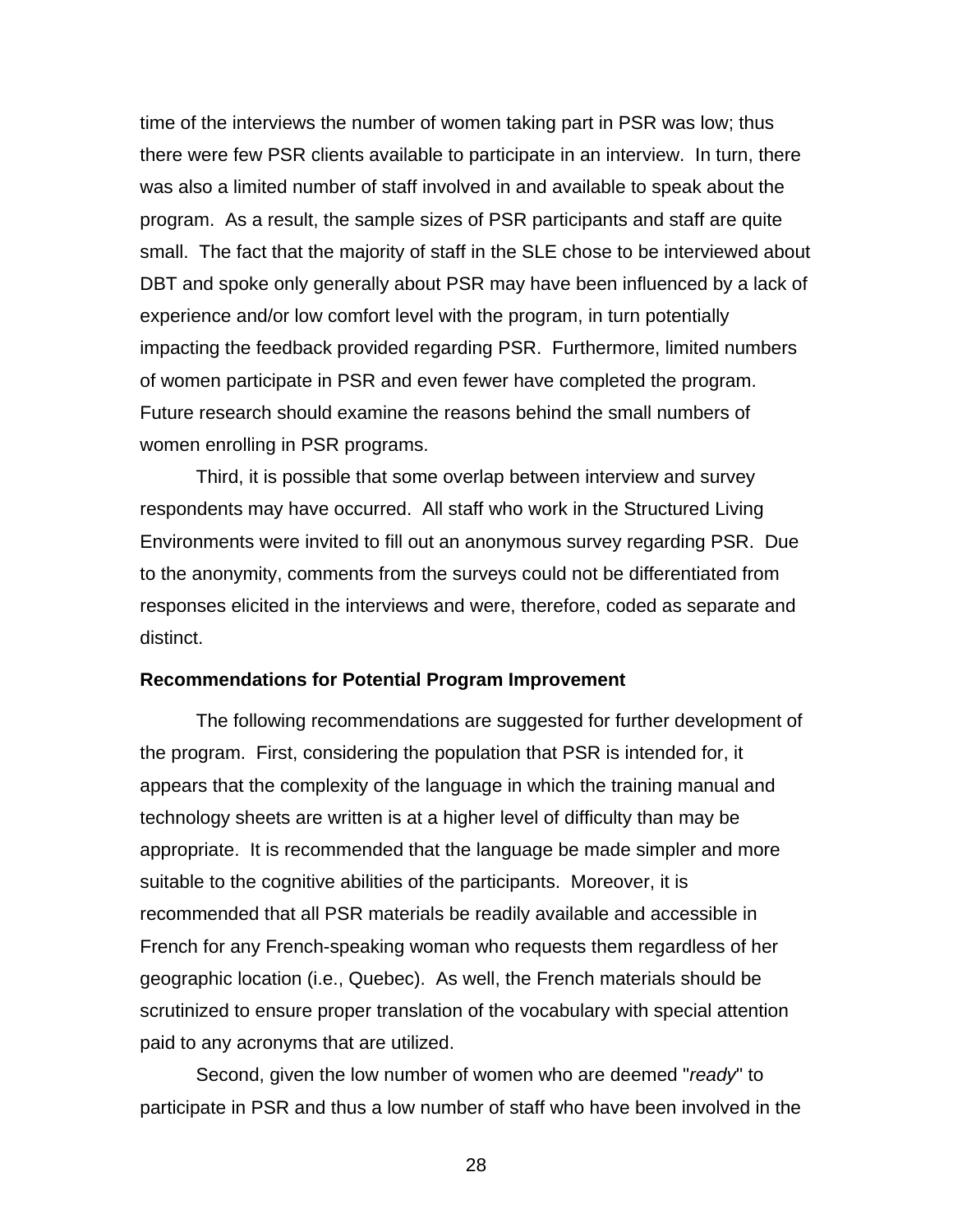<span id="page-34-0"></span>time of the interviews the number of women taking part in PSR was low; thus there were few PSR clients available to participate in an interview. In turn, there was also a limited number of staff involved in and available to speak about the program. As a result, the sample sizes of PSR participants and staff are quite small. The fact that the majority of staff in the SLE chose to be interviewed about DBT and spoke only generally about PSR may have been influenced by a lack of experience and/or low comfort level with the program, in turn potentially impacting the feedback provided regarding PSR. Furthermore, limited numbers of women participate in PSR and even fewer have completed the program. Future research should examine the reasons behind the small numbers of women enrolling in PSR programs.

Third, it is possible that some overlap between interview and survey respondents may have occurred. All staff who work in the Structured Living Environments were invited to fill out an anonymous survey regarding PSR. Due to the anonymity, comments from the surveys could not be differentiated from responses elicited in the interviews and were, therefore, coded as separate and distinct.

#### **Recommendations for Potential Program Improvement**

The following recommendations are suggested for further development of the program. First, considering the population that PSR is intended for, it appears that the complexity of the language in which the training manual and technology sheets are written is at a higher level of difficulty than may be appropriate. It is recommended that the language be made simpler and more suitable to the cognitive abilities of the participants. Moreover, it is recommended that all PSR materials be readily available and accessible in French for any French-speaking woman who requests them regardless of her geographic location (i.e., Quebec). As well, the French materials should be scrutinized to ensure proper translation of the vocabulary with special attention paid to any acronyms that are utilized.

Second, given the low number of women who are deemed "*ready*" to participate in PSR and thus a low number of staff who have been involved in the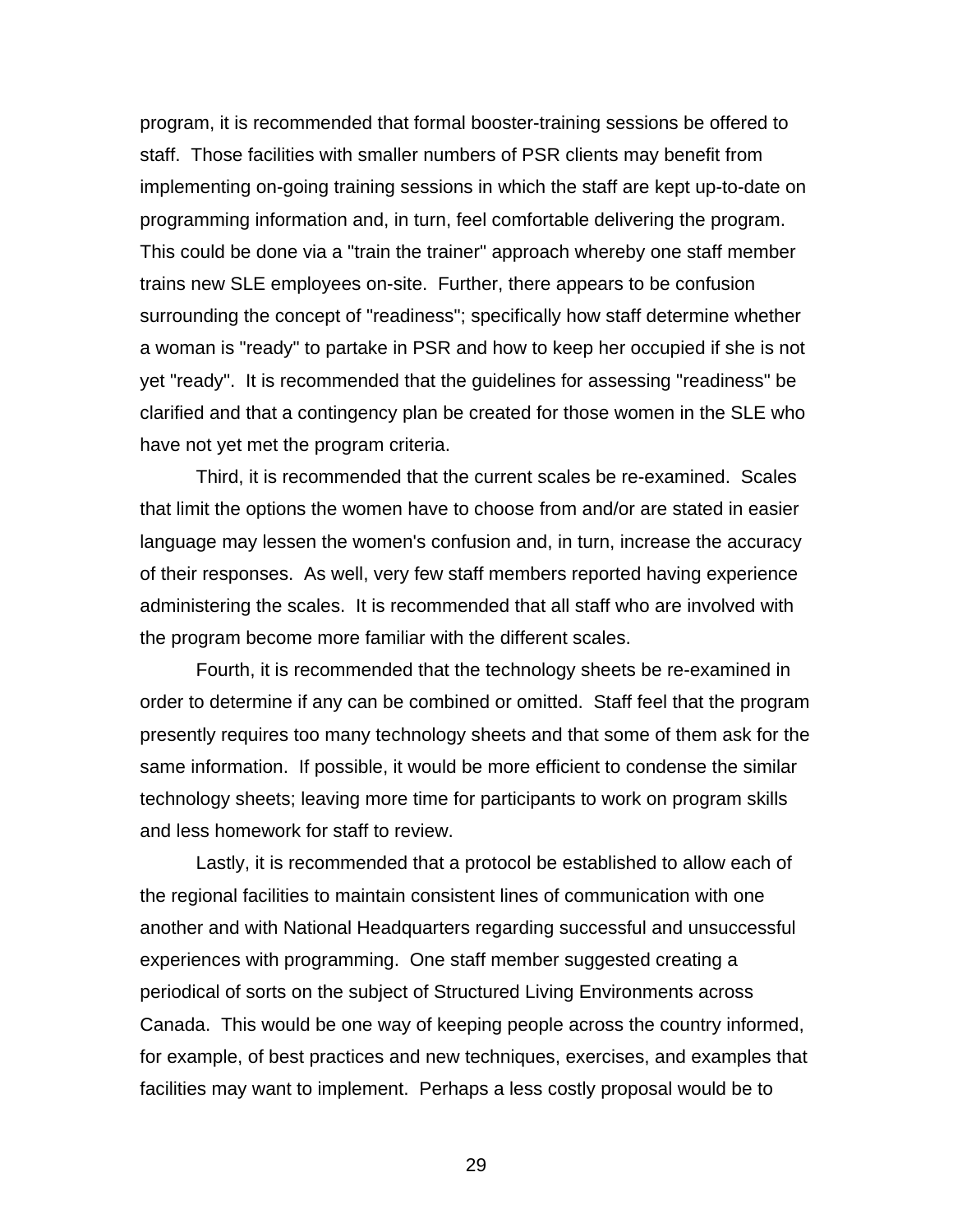program, it is recommended that formal booster-training sessions be offered to staff. Those facilities with smaller numbers of PSR clients may benefit from implementing on-going training sessions in which the staff are kept up-to-date on programming information and, in turn, feel comfortable delivering the program. This could be done via a "train the trainer" approach whereby one staff member trains new SLE employees on-site. Further, there appears to be confusion surrounding the concept of "readiness"; specifically how staff determine whether a woman is "ready" to partake in PSR and how to keep her occupied if she is not yet "ready". It is recommended that the guidelines for assessing "readiness" be clarified and that a contingency plan be created for those women in the SLE who have not yet met the program criteria.

Third, it is recommended that the current scales be re-examined. Scales that limit the options the women have to choose from and/or are stated in easier language may lessen the women's confusion and, in turn, increase the accuracy of their responses. As well, very few staff members reported having experience administering the scales. It is recommended that all staff who are involved with the program become more familiar with the different scales.

Fourth, it is recommended that the technology sheets be re-examined in order to determine if any can be combined or omitted. Staff feel that the program presently requires too many technology sheets and that some of them ask for the same information. If possible, it would be more efficient to condense the similar technology sheets; leaving more time for participants to work on program skills and less homework for staff to review.

Lastly, it is recommended that a protocol be established to allow each of the regional facilities to maintain consistent lines of communication with one another and with National Headquarters regarding successful and unsuccessful experiences with programming. One staff member suggested creating a periodical of sorts on the subject of Structured Living Environments across Canada. This would be one way of keeping people across the country informed, for example, of best practices and new techniques, exercises, and examples that facilities may want to implement. Perhaps a less costly proposal would be to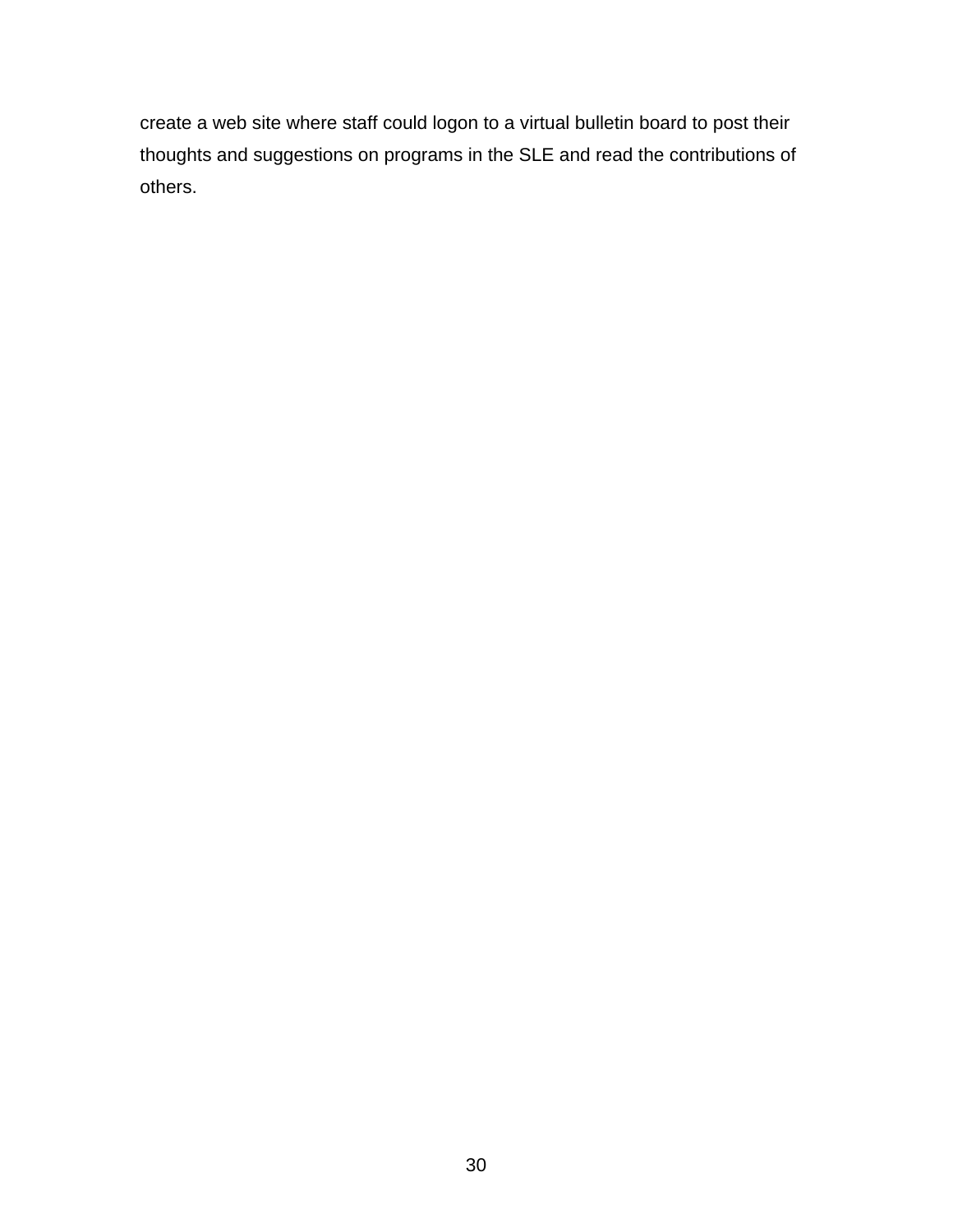create a web site where staff could logon to a virtual bulletin board to post their thoughts and suggestions on programs in the SLE and read the contributions of others.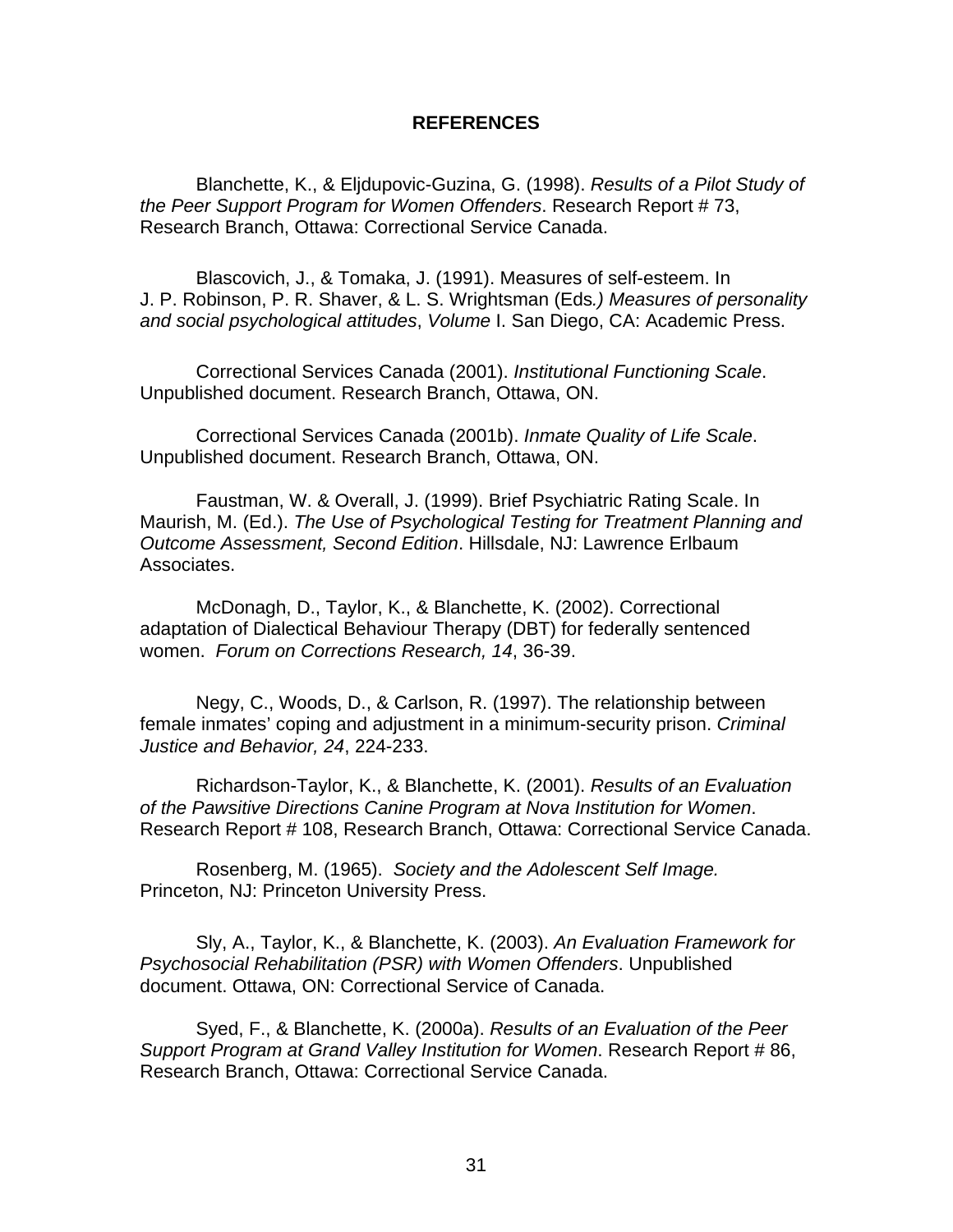### **REFERENCES**

<span id="page-37-0"></span>Blanchette, K., & Eljdupovic-Guzina, G. (1998). *Results of a Pilot Study of the Peer Support Program for Women Offenders*. Research Report # 73, Research Branch, Ottawa: Correctional Service Canada.

Blascovich, J., & Tomaka, J. (1991). Measures of self-esteem. In J. P. Robinson, P. R. Shaver, & L. S. Wrightsman (Eds*.) Measures of personality and social psychological attitudes*, *Volume* I. San Diego, CA: Academic Press.

Correctional Services Canada (2001). *Institutional Functioning Scale*. Unpublished document. Research Branch, Ottawa, ON.

Correctional Services Canada (2001b). *Inmate Quality of Life Scale*. Unpublished document. Research Branch, Ottawa, ON.

Faustman, W. & Overall, J. (1999). Brief Psychiatric Rating Scale. In Maurish, M. (Ed.). *The Use of Psychological Testing for Treatment Planning and Outcome Assessment, Second Edition*. Hillsdale, NJ: Lawrence Erlbaum Associates.

McDonagh, D., Taylor, K., & Blanchette, K. (2002). Correctional adaptation of Dialectical Behaviour Therapy (DBT) for federally sentenced women. *Forum on Corrections Research, 14*, 36-39.

Negy, C., Woods, D., & Carlson, R. (1997). The relationship between female inmates' coping and adjustment in a minimum-security prison. *Criminal Justice and Behavior, 24*, 224-233.

Richardson-Taylor, K., & Blanchette, K. (2001). *Results of an Evaluation of the Pawsitive Directions Canine Program at Nova Institution for Women*. Research Report # 108, Research Branch, Ottawa: Correctional Service Canada.

Rosenberg, M. (1965). *Society and the Adolescent Self Image.* Princeton, NJ: Princeton University Press.

Sly, A., Taylor, K., & Blanchette, K. (2003). *An Evaluation Framework for Psychosocial Rehabilitation (PSR) with Women Offenders*. Unpublished document. Ottawa, ON: Correctional Service of Canada.

Syed, F., & Blanchette, K. (2000a). *Results of an Evaluation of the Peer Support Program at Grand Valley Institution for Women*. Research Report # 86, Research Branch, Ottawa: Correctional Service Canada.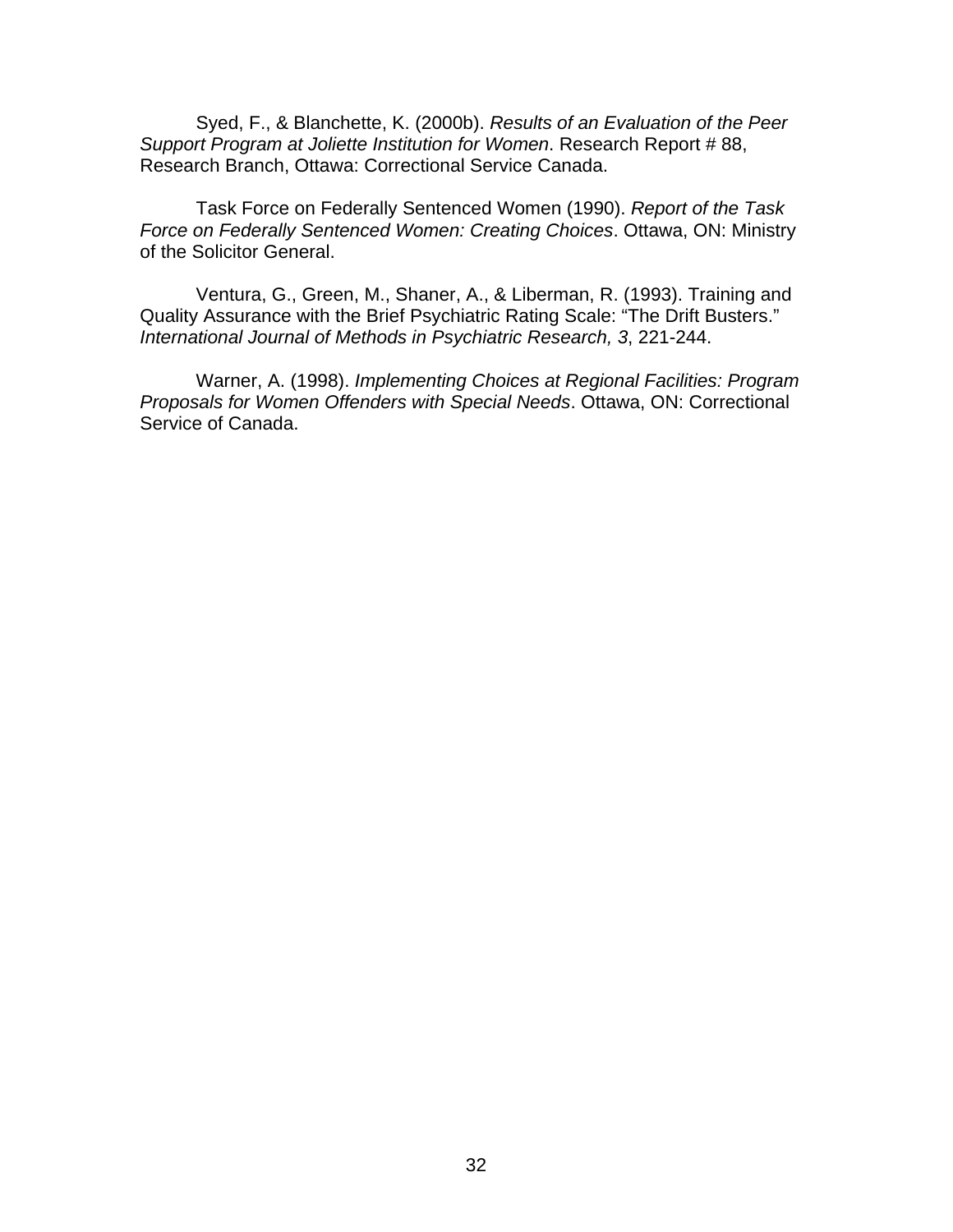Syed, F., & Blanchette, K. (2000b). *Results of an Evaluation of the Peer Support Program at Joliette Institution for Women*. Research Report # 88, Research Branch, Ottawa: Correctional Service Canada.

Task Force on Federally Sentenced Women (1990). *Report of the Task Force on Federally Sentenced Women: Creating Choices*. Ottawa, ON: Ministry of the Solicitor General.

Ventura, G., Green, M., Shaner, A., & Liberman, R. (1993). Training and Quality Assurance with the Brief Psychiatric Rating Scale: "The Drift Busters." *International Journal of Methods in Psychiatric Research, 3*, 221-244.

Warner, A. (1998). *Implementing Choices at Regional Facilities: Program Proposals for Women Offenders with Special Needs*. Ottawa, ON: Correctional Service of Canada.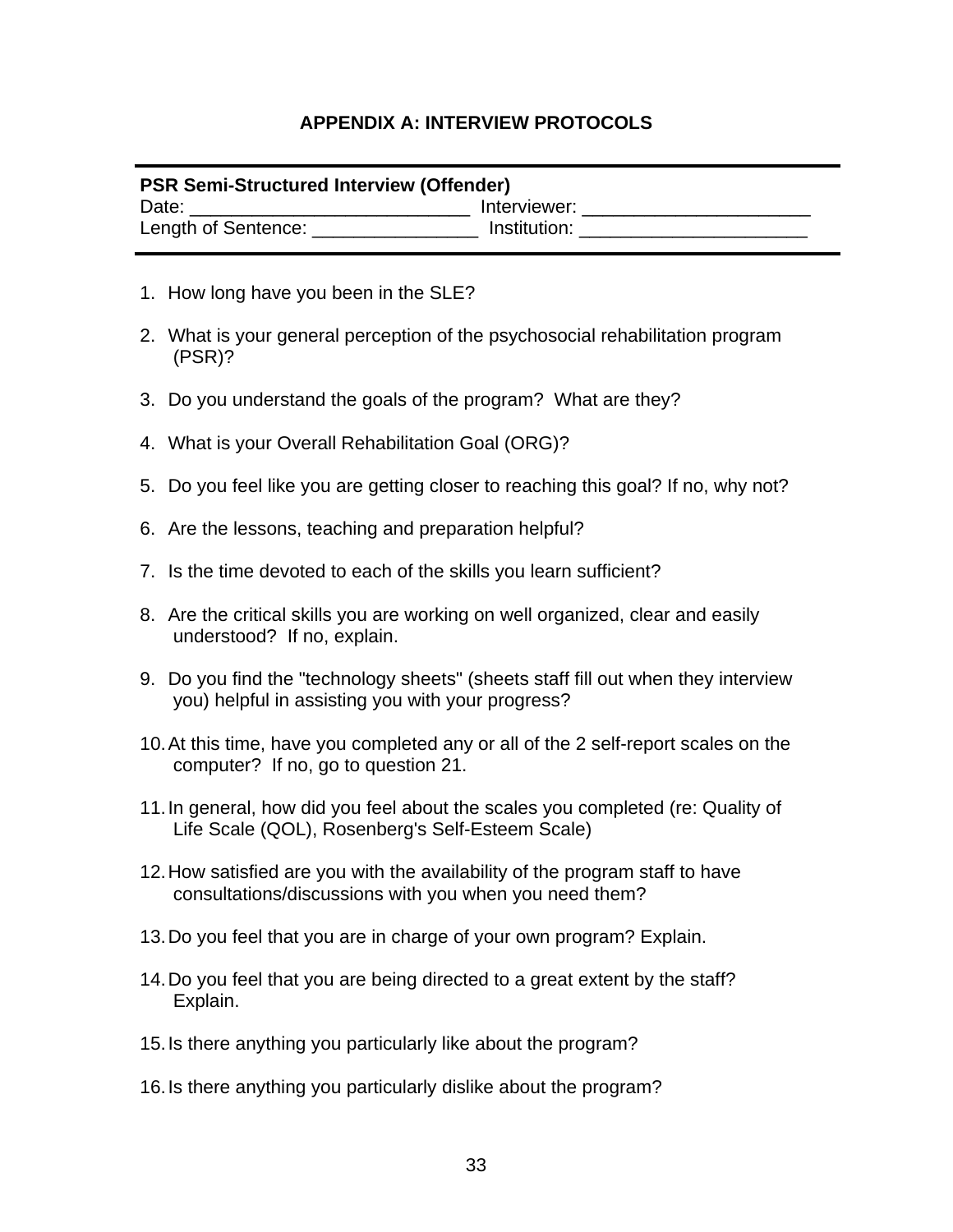# **APPENDIX A: INTERVIEW PROTOCOLS**

# <span id="page-39-0"></span>**PSR Semi-Structured Interview (Offender)**

Date: \_\_\_\_\_\_\_\_\_\_\_\_\_\_\_\_\_\_\_\_\_\_\_\_\_\_\_\_\_\_\_\_\_ Interviewer: \_\_\_\_\_\_\_\_\_\_\_\_\_\_\_\_\_\_\_\_\_\_\_\_\_\_\_ Length of Sentence: example and linear linear linear linear and linear and linear and linear linear and linear

- 1. How long have you been in the SLE?
- 2. What is your general perception of the psychosocial rehabilitation program (PSR)?
- 3. Do you understand the goals of the program? What are they?
- 4. What is your Overall Rehabilitation Goal (ORG)?
- 5. Do you feel like you are getting closer to reaching this goal? If no, why not?
- 6. Are the lessons, teaching and preparation helpful?
- 7. Is the time devoted to each of the skills you learn sufficient?
- 8. Are the critical skills you are working on well organized, clear and easily understood? If no, explain.
- 9. Do you find the "technology sheets" (sheets staff fill out when they interview you) helpful in assisting you with your progress?
- 10. At this time, have you completed any or all of the 2 self-report scales on the computer? If no, go to question 21.
- 11. In general, how did you feel about the scales you completed (re: Quality of Life Scale (QOL), Rosenberg's Self-Esteem Scale)
- 12. How satisfied are you with the availability of the program staff to have consultations/discussions with you when you need them?
- 13. Do you feel that you are in charge of your own program? Explain.
- 14. Do you feel that you are being directed to a great extent by the staff? Explain.
- 15. Is there anything you particularly like about the program?
- 16. Is there anything you particularly dislike about the program?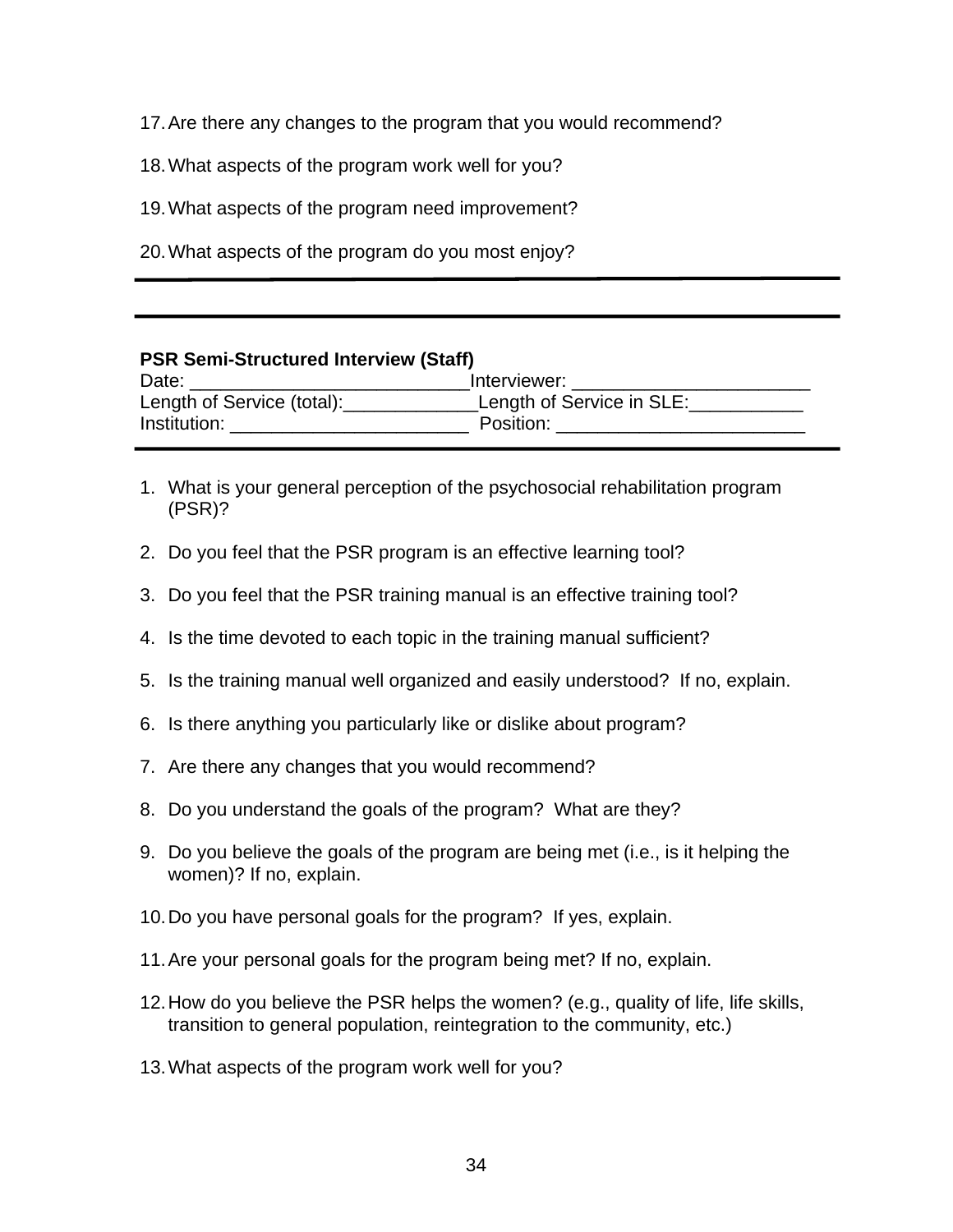17. Are there any changes to the program that you would recommend?

18. What aspects of the program work well for you?

19. What aspects of the program need improvement?

20. What aspects of the program do you most enjoy?

## **PSR Semi-Structured Interview (Staff)**

| Date:                      | Interviewer:              |
|----------------------------|---------------------------|
| Length of Service (total): | Length of Service in SLE: |
| Institution:               | Position:                 |

- 1. What is your general perception of the psychosocial rehabilitation program (PSR)?
- 2. Do you feel that the PSR program is an effective learning tool?
- 3. Do you feel that the PSR training manual is an effective training tool?
- 4. Is the time devoted to each topic in the training manual sufficient?
- 5. Is the training manual well organized and easily understood? If no, explain.
- 6. Is there anything you particularly like or dislike about program?
- 7. Are there any changes that you would recommend?
- 8. Do you understand the goals of the program? What are they?
- 9. Do you believe the goals of the program are being met (i.e., is it helping the women)? If no, explain.
- 10. Do you have personal goals for the program? If yes, explain.
- 11. Are your personal goals for the program being met? If no, explain.
- 12. How do you believe the PSR helps the women? (e.g., quality of life, life skills, transition to general population, reintegration to the community, etc.)
- 13. What aspects of the program work well for you?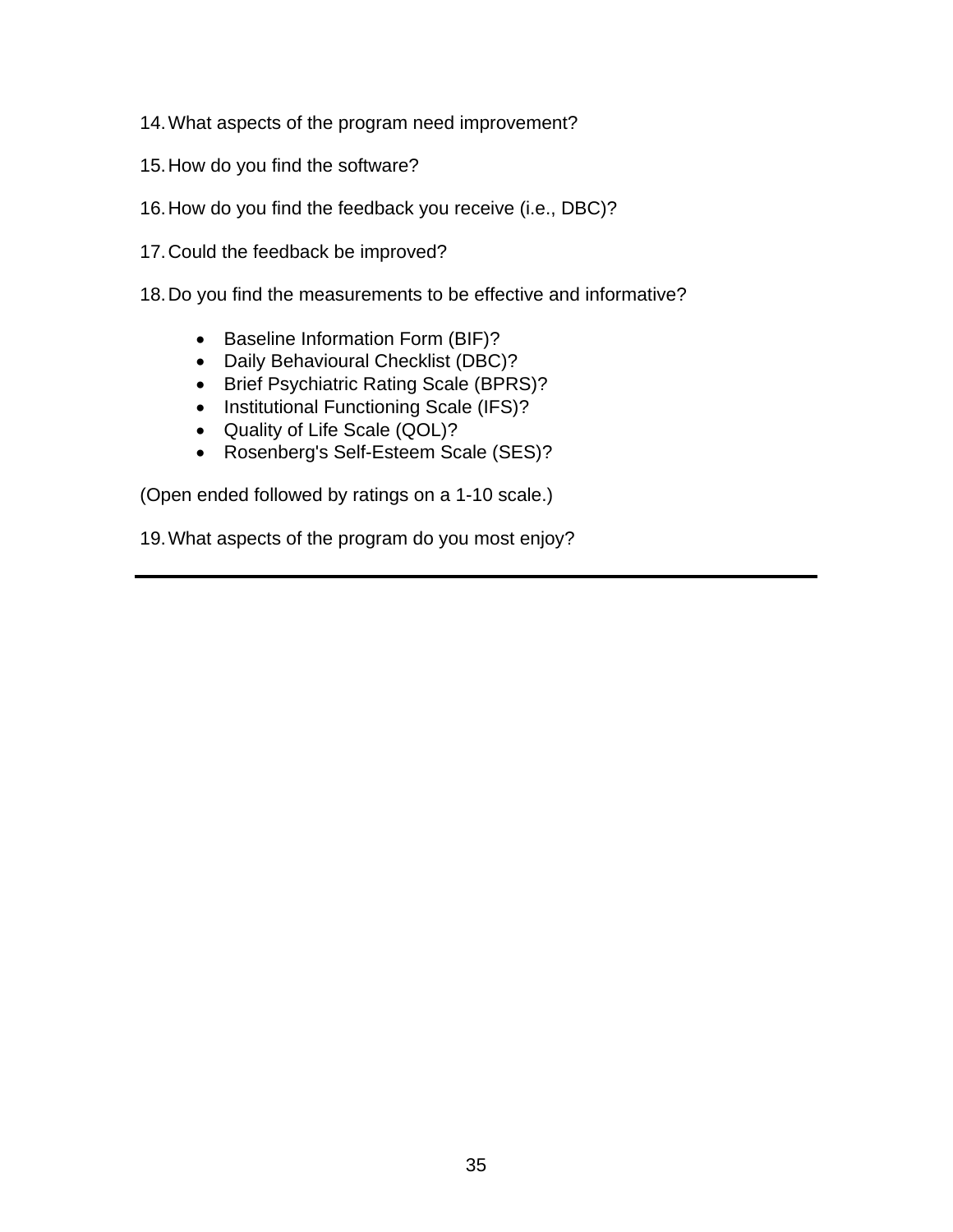- 14. What aspects of the program need improvement?
- 15. How do you find the software?
- 16. How do you find the feedback you receive (i.e., DBC)?
- 17. Could the feedback be improved?
- 18. Do you find the measurements to be effective and informative?
	- Baseline Information Form (BIF)?
	- Daily Behavioural Checklist (DBC)?
	- Brief Psychiatric Rating Scale (BPRS)?
	- Institutional Functioning Scale (IFS)?
	- Quality of Life Scale (QOL)?
	- Rosenberg's Self-Esteem Scale (SES)?

(Open ended followed by ratings on a 1-10 scale.)

19. What aspects of the program do you most enjoy?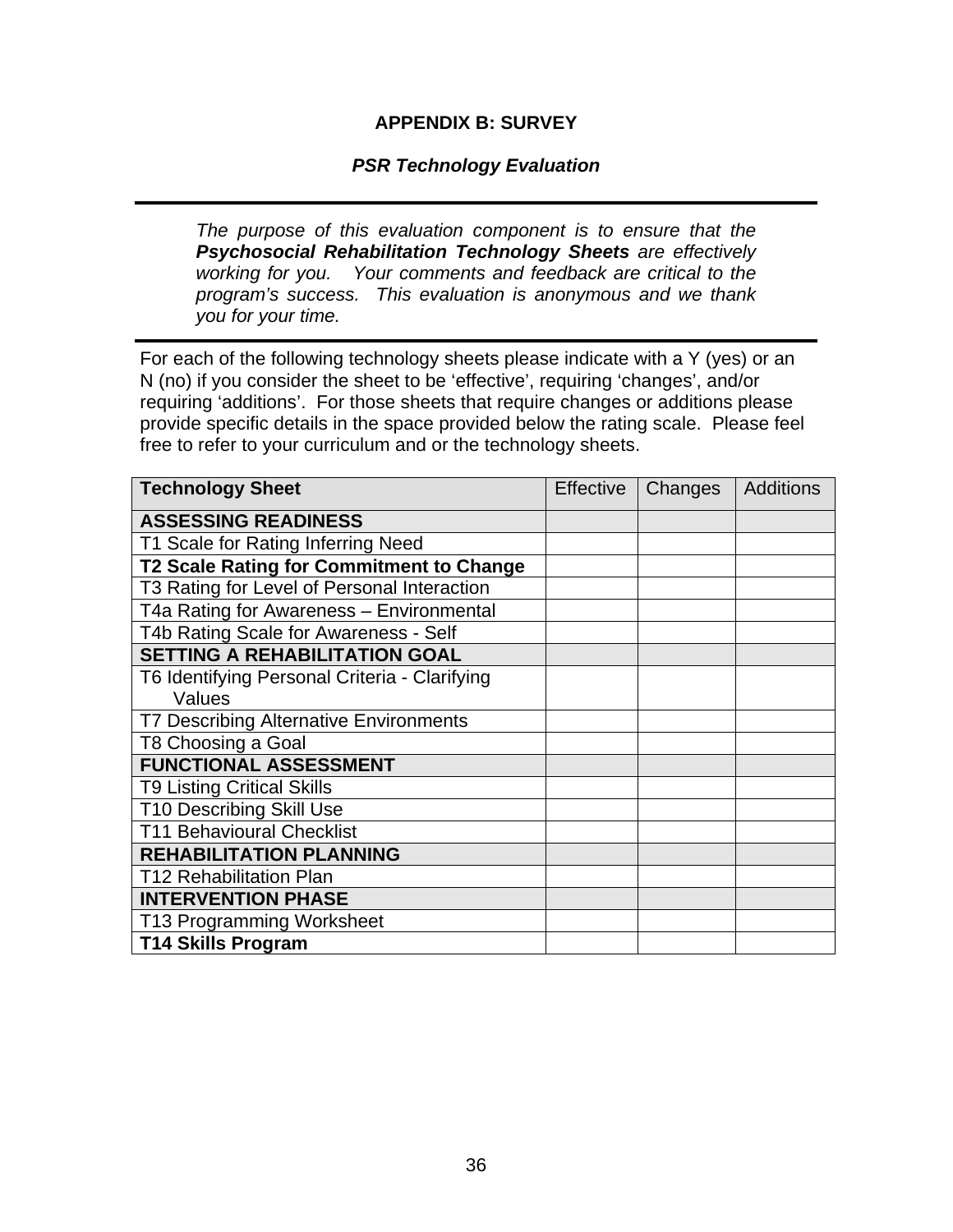## **APPENDIX B: SURVEY**

## *PSR Technology Evaluation*

<span id="page-42-0"></span>֖֚֚֚֬

*The purpose of this evaluation component is to ensure that the Psychosocial Rehabilitation Technology Sheets are effectively working for you. Your comments and feedback are critical to the program's success. This evaluation is anonymous and we thank you for your time.* 

For each of the following technology sheets please indicate with a Y (yes) or an N (no) if you consider the sheet to be 'effective', requiring 'changes', and/or requiring 'additions'. For those sheets that require changes or additions please provide specific details in the space provided below the rating scale. Please feel free to refer to your curriculum and or the technology sheets.

| <b>Technology Sheet</b>                       | <b>Effective</b> | Changes | Additions |
|-----------------------------------------------|------------------|---------|-----------|
| <b>ASSESSING READINESS</b>                    |                  |         |           |
| T1 Scale for Rating Inferring Need            |                  |         |           |
| T2 Scale Rating for Commitment to Change      |                  |         |           |
| T3 Rating for Level of Personal Interaction   |                  |         |           |
| T4a Rating for Awareness - Environmental      |                  |         |           |
| T4b Rating Scale for Awareness - Self         |                  |         |           |
| <b>SETTING A REHABILITATION GOAL</b>          |                  |         |           |
| T6 Identifying Personal Criteria - Clarifying |                  |         |           |
| Values                                        |                  |         |           |
| <b>T7 Describing Alternative Environments</b> |                  |         |           |
| T8 Choosing a Goal                            |                  |         |           |
| <b>FUNCTIONAL ASSESSMENT</b>                  |                  |         |           |
| <b>T9 Listing Critical Skills</b>             |                  |         |           |
| <b>T10 Describing Skill Use</b>               |                  |         |           |
| <b>T11 Behavioural Checklist</b>              |                  |         |           |
| <b>REHABILITATION PLANNING</b>                |                  |         |           |
| <b>T12 Rehabilitation Plan</b>                |                  |         |           |
| <b>INTERVENTION PHASE</b>                     |                  |         |           |
| T13 Programming Worksheet                     |                  |         |           |
| <b>T14 Skills Program</b>                     |                  |         |           |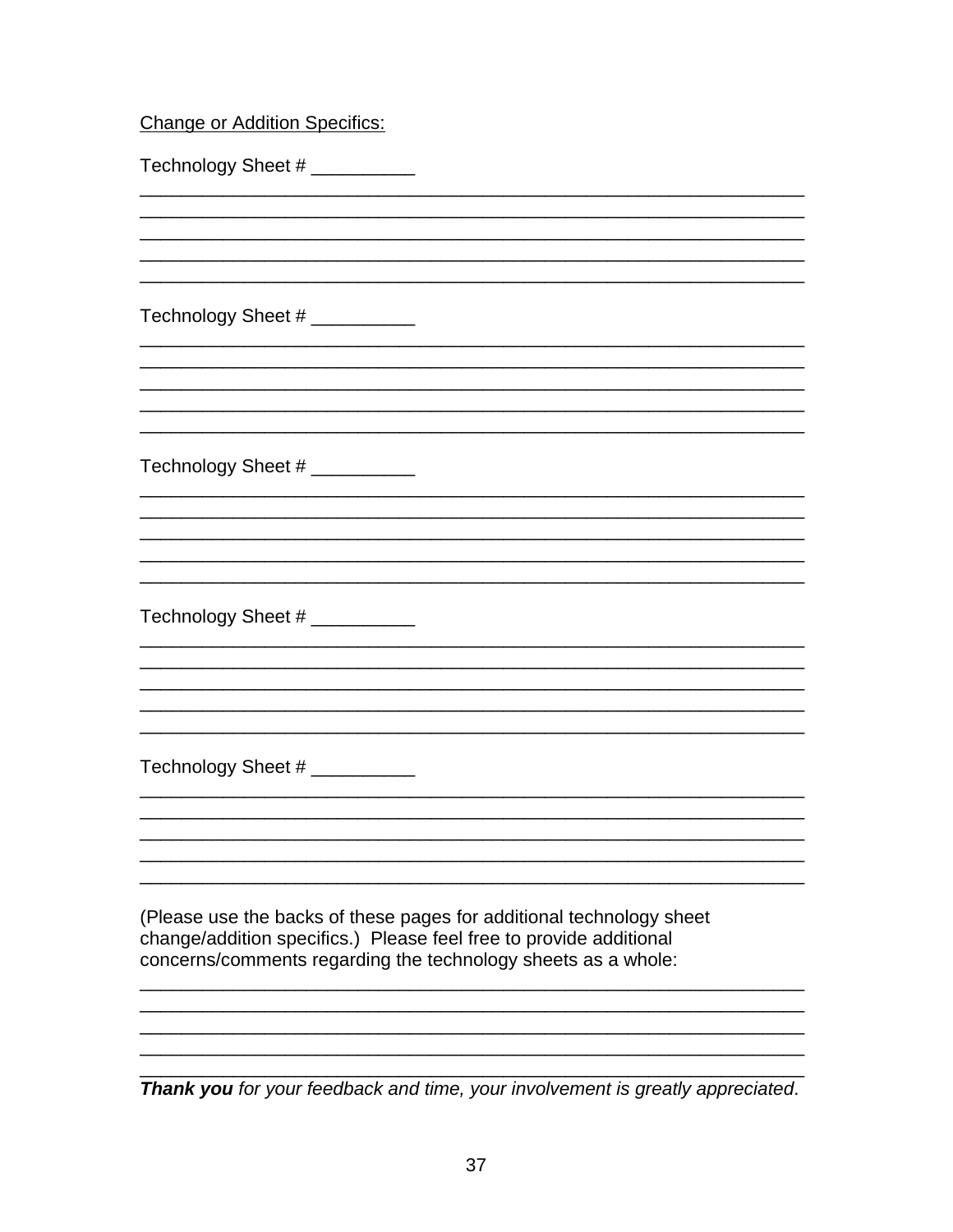# **Change or Addition Specifics:**

| Technology Sheet # ___________                                                 |  |
|--------------------------------------------------------------------------------|--|
|                                                                                |  |
|                                                                                |  |
|                                                                                |  |
|                                                                                |  |
| Technology Sheet # ___________                                                 |  |
|                                                                                |  |
|                                                                                |  |
|                                                                                |  |
|                                                                                |  |
|                                                                                |  |
| Technology Sheet # ____________                                                |  |
|                                                                                |  |
|                                                                                |  |
|                                                                                |  |
|                                                                                |  |
|                                                                                |  |
| Technology Sheet # ____________                                                |  |
|                                                                                |  |
|                                                                                |  |
|                                                                                |  |
|                                                                                |  |
| Technology Sheet # ____________                                                |  |
|                                                                                |  |
|                                                                                |  |
|                                                                                |  |
|                                                                                |  |
|                                                                                |  |
| (Please use the backs of these pages for additional technology sheet           |  |
| change/addition specifics.) Please feel free to provide additional             |  |
| concerns/comments regarding the technology sheets as a whole:                  |  |
|                                                                                |  |
|                                                                                |  |
|                                                                                |  |
| Thank you for your feedback and time, your involvement is greatly appreciated. |  |